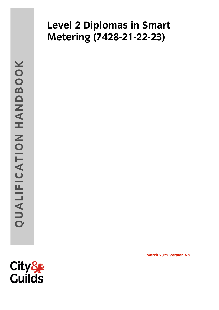# **Metering (7428-21-22-23) Metering (7428-21-22-23)**

**March 2022 Version 6.2**

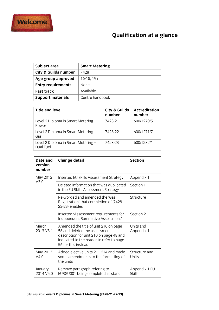

## **Qualification at a glance**

| Subject area                    | <b>Smart Metering</b> |
|---------------------------------|-----------------------|
| <b>City &amp; Guilds number</b> | 7428                  |
| Age group approved              | $16-18, 19+$          |
| <b>Entry requirements</b>       | <b>None</b>           |
| <b>Fast track</b>               | Available             |
| <b>Support materials</b>        | Centre handbook       |
|                                 |                       |

| <b>Title and level</b>                           | City & Guilds<br>number | <b>Accreditation</b><br>number |
|--------------------------------------------------|-------------------------|--------------------------------|
| Level 2 Diploma in Smart Metering -<br>Power     | 7428-21                 | 600/1270/5                     |
| Level 2 Diploma in Smart Metering -<br>Gas       | 7428-22                 | 600/1271/7                     |
| Level 2 Diploma in Smart Metering -<br>Dual Fuel | 7428-23                 | 600/1282/1                     |
|                                                  |                         |                                |

| Date and<br>version<br>number | <b>Change detail</b>                                                                                                                                                                 | <b>Section</b>          |
|-------------------------------|--------------------------------------------------------------------------------------------------------------------------------------------------------------------------------------|-------------------------|
| May 2012                      | Inserted EU Skills Assessment Strategy                                                                                                                                               | Appendix 1              |
| V3.0                          | Deleted information that was duplicated<br>in the EU Skills Assessment Strategy                                                                                                      | Section 1               |
|                               | Re-worded and amended the 'Gas<br>Registration' that completion of (7428-<br>22-23) enables                                                                                          | Structure               |
|                               | Inserted 'Assessment requirements for<br>Independent Summative Assessment'                                                                                                           | Section 2               |
| March<br>2013 V3.1            | Amended the title of unit 210 on page<br>56 and deleted the assessment<br>description for unit 210 on page 48 and<br>indicated to the reader to refer to page<br>56 for this instead | Units and<br>Appendix 1 |
| May 2013<br>V4.0              | Added elective units 211-214 and made<br>some amendments to the formatting of<br>the units                                                                                           | Structure and<br>Units  |
| January<br>2014 V5.0          | Remove paragraph refering to<br>EUSGU001 being completed as stand                                                                                                                    | Appendix 1 EU<br>Skills |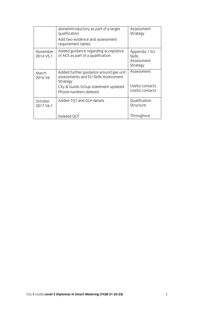|                       | alone/introductory as part of a larger<br>qualification.                                                                                                     | <b>Assessment</b><br>Strategy                            |
|-----------------------|--------------------------------------------------------------------------------------------------------------------------------------------------------------|----------------------------------------------------------|
|                       | Add two evidence and assessment<br>requirement tables.                                                                                                       |                                                          |
| November<br>2014 V5.1 | Added guidance regarding acceptance<br>of ACS as part of a qualification.                                                                                    | Appendix 1 EU<br><b>Skills</b><br>Assessment<br>Strategy |
| March<br>2016 V6      | Added further guidance around gas unit<br>assessments and EU Skills Assessment<br>Strategy<br>City & Guilds Group statement updated<br>Phone numbers deleted | Assessment<br>Useful contacts<br>Useful contacts         |
| October<br>2017 V6.1  | Added TQT and GLH details                                                                                                                                    | Qualification<br>Structure                               |
|                       | Deleted QCF                                                                                                                                                  | Throughout                                               |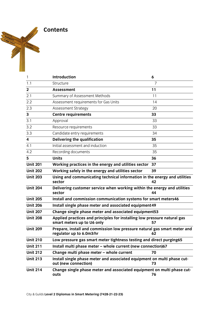**Contents** 

| 1               | <b>Introduction</b>                                                                                    | 6  |
|-----------------|--------------------------------------------------------------------------------------------------------|----|
| 1.1             | Structure                                                                                              | 7  |
| $\mathbf{2}$    | <b>Assessment</b>                                                                                      | 11 |
| 2.1             | Summary of Assessment Methods                                                                          | 11 |
| 2.2             | Assessment requirements for Gas Units                                                                  | 14 |
| 2.3             | Assessment Strategy                                                                                    | 20 |
| 3               | <b>Centre requirements</b>                                                                             | 33 |
| 3.1             | Approval                                                                                               | 33 |
| 3.2             | Resource requirements                                                                                  | 33 |
| 3.3             | Candidate entry requirements                                                                           | 34 |
| 4               | <b>Delivering the qualification</b>                                                                    | 35 |
| 4.1             | Initial assessment and induction                                                                       | 35 |
| 4.2             | Recording documents                                                                                    | 35 |
| 5               | <b>Units</b>                                                                                           | 36 |
| <b>Unit 201</b> | Working practices in the energy and utilities sector                                                   | 37 |
| <b>Unit 202</b> | Working safely in the energy and utilities sector                                                      | 39 |
| <b>Unit 203</b> | Using and communicating technical information in the energy and utilities<br>sector                    | 42 |
| <b>Unit 204</b> | Delivering customer service when working within the energy and utilities<br>sector                     | 44 |
| <b>Unit 205</b> | Install and commission communication systems for smart meters46                                        |    |
| <b>Unit 206</b> | Install single phase meter and associated equipment 49                                                 |    |
| <b>Unit 207</b> | Change single phase meter and associated equipment53                                                   |    |
| <b>Unit 208</b> | Applied practices and principles for installing low pressure natural gas<br>smart meters up to U6 only | 57 |
| <b>Unit 209</b> | Prepare, install and commission low pressure natural gas smart meter and<br>regulator up to 6.0m3/hr   | 62 |
| <b>Unit 210</b> | Low pressure gas smart meter tightness testing and direct purging65                                    |    |
| <b>Unit 211</b> | Install multi phase meter - whole current (new connection)67                                           |    |
| <b>Unit 212</b> | Change multi phase meter - whole current                                                               | 70 |
| <b>Unit 213</b> | Install single phase meter and associated equipment on multi phase cut-<br>out (new connection)        | 73 |
| <b>Unit 214</b> | Change single phase meter and associated equipment on multi phase cut-<br>outs                         | 76 |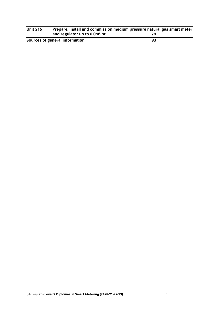| <b>Unit 215</b> | Prepare, install and commission medium pressure natural gas smart meter |    |
|-----------------|-------------------------------------------------------------------------|----|
|                 | and regulator up to 6.0m <sup>3</sup> /hr                               |    |
|                 | Sources of general information                                          | 83 |

**Sources of general information 83**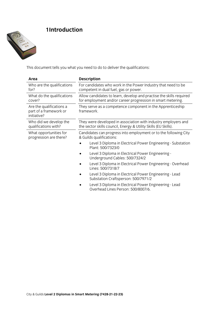

This document tells you what you need to do to deliver the qualifications:

| Area                                                              | <b>Description</b>                                                                                                                 |  |
|-------------------------------------------------------------------|------------------------------------------------------------------------------------------------------------------------------------|--|
| Who are the qualifications<br>for?                                | For candidates who work in the Power Industry that need to be<br>competent in dual fuel, gas or power.                             |  |
| What do the qualifications<br>cover?                              | Allow candidates to learn, develop and practise the skills required<br>for employment and/or career progression in smart metering. |  |
| Are the qualifications a<br>part of a framework or<br>initiative? | They serve as a competence component in the Apprenticeship<br>framework.                                                           |  |
| Who did we develop the<br>qualifications with?                    | They were developed in association with industry employers and<br>the sector skills council, Energy & Utility Skills (EU Skills).  |  |
| What opportunities for<br>progression are there?                  | Candidates can progress into employment or to the following City<br>& Guilds qualifications:                                       |  |
|                                                                   | Level 3 Diploma in Electrical Power Engineering - Substation<br>Plant: 500/7323/0                                                  |  |
|                                                                   | Level 3 Diploma in Electrical Power Engineering -<br>Underground Cables: 500/7324/2                                                |  |
|                                                                   | Level 3 Diploma in Electrical Power Engineering - Overhead<br>Lines: 500/7318/7                                                    |  |
|                                                                   | Level 3 Diploma in Electrical Power Engineering - Lead<br>Substation Craftsperson: 500/7971/2                                      |  |
|                                                                   | Level 3 Diploma in Electrical Power Engineering - Lead<br>Overhead Lines Person: 500/8007/6.                                       |  |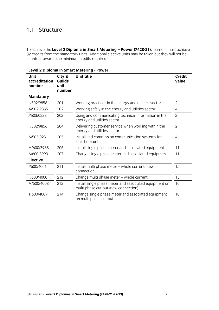To achieve the **Level 2 Diploma in Smart Metering – Power (7428-21),** learners must achieve counted towards the minimum credits required. counted towards the minimum credits required.

| Unit<br>accreditation<br>number | City &<br><b>Guilds</b><br>unit<br>number | Unit title                                                                                     | <b>Credit</b><br>value |
|---------------------------------|-------------------------------------------|------------------------------------------------------------------------------------------------|------------------------|
| <b>Mandatory</b>                |                                           |                                                                                                |                        |
| L/502/9858                      | 201                                       | Working practices in the energy and utilities sector                                           | $\overline{2}$         |
| A/502/9855                      | 202                                       | Working safely in the energy and utilities sector                                              | 4                      |
| J/503/0233                      | 203                                       | Using and communicating technical information in the<br>energy and utilities sector            |                        |
| F/502/9856                      | 204                                       | Delivering customer service when working within the<br>energy and utilities sector             | $\overline{2}$         |
| A/503/0231                      | 205                                       | Install and commission communication systems for<br>smart meters                               |                        |
| M/600/3988                      | 206                                       | Install single phase meter and associated equipment                                            |                        |
| A/600/3993                      | 207                                       | Change single phase meter and associated equipment                                             | 11                     |
| <b>Elective</b>                 |                                           |                                                                                                |                        |
| J/600/4001                      | 211                                       | Install multi phase meter - whole current (new<br>connection)                                  |                        |
| F/600/4000                      | 212                                       | Change multi phase meter - whole current                                                       | 15                     |
| M/600/4008                      | 213                                       | Install single phase meter and associated equipment on<br>multi phase cut-out (new connection) | 10                     |
| T/600/4009                      | 214                                       | Change single phase meter and associated equipment<br>on multi phase cut-outs                  | 10                     |

on multi phase cut-outs

#### **Level 2 Diploma in Smart Metering - Power**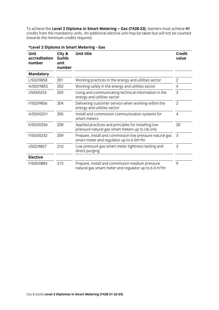credits from the mandatory units. An additional elective unit may be taken but will not be counted towards the minimum credits required. An additional electional electional electional election but will not be counted to be counted to be counted to be counted to be counted to be counted to be counted to be counted to be towards the minimum credits required.

| Unit<br>accreditation<br>number | City &<br>Guilds<br>unit<br>number | <b>Unit title</b>                                                                                                                   | <b>Credit</b><br>value |
|---------------------------------|------------------------------------|-------------------------------------------------------------------------------------------------------------------------------------|------------------------|
| <b>Mandatory</b>                |                                    |                                                                                                                                     |                        |
| L/502/9858                      | 201                                | Working practices in the energy and utilities sector                                                                                | 2                      |
| A/502/9855                      | 202                                | Working safely in the energy and utilities sector                                                                                   | 4                      |
| J/503/0233                      | 203                                | Using and communicating technical information in the<br>energy and utilities sector                                                 |                        |
| F/502/9856                      | 204                                | Delivering customer service when working within the<br>energy and utilities sector                                                  |                        |
| A/503/0231                      | 205                                | Install and commission communication systems for<br>smart meters                                                                    |                        |
| K/503/0256                      | 208                                | 20<br>Applied practices and principles for installing low<br>pressure natural gas smart meters up to U6 only                        |                        |
| F/503/0232                      | 209                                | $\overline{3}$<br>Prepare, install and commission low pressure natural gas<br>smart meter and regulator up to 6.0m <sup>3</sup> /hr |                        |
| J/502/9857                      | 210                                | 3<br>Low pressure gas smart meter tightness testing and<br>direct purging                                                           |                        |
| <b>Elective</b>                 |                                    |                                                                                                                                     |                        |
| F/505/0884                      | 215                                | Prepare, install and commission medium pressure<br>natural gas smart meter and regulator up to 6.0 m <sup>3</sup> /hr               | 9                      |

\*Level 2 Diploma in Smart Metering - Gas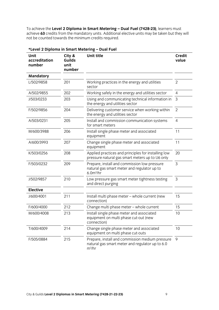To achieve the **Level 2 Diploma in Smart Metering – Dual Fuel (7428-23)**, learners must not be counted towards the minimum credits required. not be counted towards the minimum credits required.

| Unit<br>accreditation<br>number | City &<br>Guilds<br>unit<br>number | Unit title                                                                                                          | <b>Credit</b><br>value |
|---------------------------------|------------------------------------|---------------------------------------------------------------------------------------------------------------------|------------------------|
| <b>Mandatory</b>                |                                    |                                                                                                                     |                        |
| L/502/9858                      | 201                                | Working practices in the energy and utilities<br>sector                                                             | $\overline{2}$         |
| A/502/9855                      | 202                                | Working safely in the energy and utilities sector                                                                   | $\overline{4}$         |
| J/503/0233                      | 203                                | Using and communicating technical information in<br>the energy and utilities sector                                 | 3                      |
| F/502/9856                      | 204                                | Delivering customer service when working within<br>the energy and utilities sector                                  | $\overline{2}$         |
| A/503/0231                      | 205                                | Install and commission communication systems<br>for smart meters                                                    | $\overline{4}$         |
| M/600/3988                      | 206                                | Install single phase meter and associated<br>equipment                                                              | 11                     |
| A/600/3993                      | 207                                | Change single phase meter and associated<br>equipment                                                               | 11                     |
| K/503/0256                      | 208                                | Applied practices and principles for installing low<br>pressure natural gas smart meters up to U6 only              | 20                     |
| F/503/0232                      | 209                                | Prepare, install and commission low pressure<br>natural gas smart meter and regulator up to<br>$6.0m^3/hr$          | 3                      |
| J/502/9857                      | 210                                | Low pressure gas smart meter tightness testing<br>and direct purging                                                | 3                      |
| <b>Elective</b>                 |                                    |                                                                                                                     |                        |
| J/600/4001                      | 211                                | Install multi phase meter - whole current (new<br>connection)                                                       | 15                     |
| F/600/4000                      | 212                                | Change multi phase meter - whole current                                                                            | 15                     |
| M/600/4008                      | 213                                | Install single phase meter and associated<br>10<br>equipment on multi phase cut-out (new<br>connection)             |                        |
| T/600/4009                      | 214                                | Change single phase meter and associated<br>10<br>equipment on multi phase cut-outs                                 |                        |
| F/505/0884                      | 215                                | Prepare, install and commission medium pressure<br>9<br>natural gas smart meter and regulator up to 6.0<br>$m^3/hr$ |                        |

### \*Level 2 Diploma in Smart Metering - Dual Fuel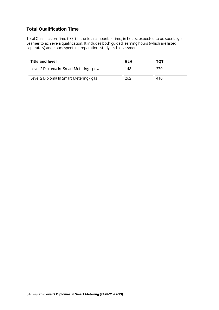### **Total Qualification Time**

Total Qualification Time (TQT) is the total amount of time, in hours, expected to be spent by a  $\frac{1}{2}$  separately) and hours spent in preparation.  $\frac{1}{2}$  study and assessment. separately) and hours spent in preparation, study and assessment.

| <b>Title and level</b>                    | <b>GLH</b> | тот  |  |
|-------------------------------------------|------------|------|--|
| Level 2 Diploma In Smart Metering - power | 148        | 370  |  |
| Level 2 Diploma In Smart Metering - gas   | 262.       | 41 O |  |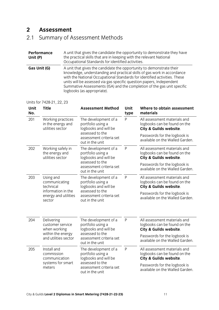#### $2<sup>1</sup>$ **Assessment**

## 2<sup>1</sup> Summary of  $\mathcal{L}$

| Performance<br>Unit (P) | A unit that gives the candidate the opportunity to demonstrate they have<br>the practical skills that are in keeping with the relevant National<br>Occupational Standards for identified activities.                                                                                                                                                                                                          |
|-------------------------|---------------------------------------------------------------------------------------------------------------------------------------------------------------------------------------------------------------------------------------------------------------------------------------------------------------------------------------------------------------------------------------------------------------|
| Gas Unit (G)            | A unit that gives the candidate the opportunity to demonstrate their<br>knowledge, understanding and practical skills of gas work in accordance<br>with the National Occupational Standards for identified activities. These<br>units will be assessed via gas specific question papers, Independent<br>Summative Assessments (ISA) and the completion of the gas unit specific<br>logbooks (as appropriate). |

Units for 7428-21, 22, 23

| Unit<br>No. | <b>Title</b>                                                                                               | <b>Assessment Method</b>                                               | Unit<br>type | Where to obtain assessment<br>materials                                                |
|-------------|------------------------------------------------------------------------------------------------------------|------------------------------------------------------------------------|--------------|----------------------------------------------------------------------------------------|
| 201         | Working practices<br>in the energy and<br>utilities sector                                                 | The development of a<br>P<br>portfolio using a<br>logbooks and will be |              | All assessment materials and<br>logbooks can be found on the<br>City & Guilds website. |
|             |                                                                                                            | assessed to the<br>assessment criteria set<br>out in the unit          |              | Passwords for the logbook is<br>available on the Walled Garden.                        |
| 202         | Working safely in<br>the energy and<br>utilities sector                                                    | The development of a<br>portfolio using a<br>logbooks and will be      | P            | All assessment materials and<br>logbooks can be found on the<br>City & Guilds website. |
|             |                                                                                                            | assessed to the<br>assessment criteria set<br>out in the unit          |              | Passwords for the logbook is<br>available on the Walled Garden.                        |
| 203         | Using and<br>communicating<br>technical                                                                    | P<br>The development of a<br>portfolio using a<br>logbooks and will be |              | All assessment materials and<br>logbooks can be found on the<br>City & Guilds website. |
|             | information in the<br>energy and utilities<br>sector                                                       | assessed to the<br>assessment criteria set<br>out in the unit          |              | Passwords for the logbook is<br>available on the Walled Garden.                        |
| 204         | Delivering<br>customer service<br>when working                                                             | The development of a<br>portfolio using a<br>logbooks and will be      | P            | All assessment materials and<br>logbooks can be found on the<br>City & Guilds website. |
|             | assessed to the<br>within the energy<br>and utilities sector<br>assessment criteria set<br>out in the unit |                                                                        |              | Passwords for the logbook is<br>available on the Walled Garden.                        |
| 205         | Install and<br>commission<br>communication                                                                 | The development of a<br>portfolio using a<br>logbooks and will be      | P            | All assessment materials and<br>logbooks can be found on the<br>City & Guilds website. |
|             | assessed to the<br>systems for smart<br>meters<br>assessment criteria set<br>out in the unit               |                                                                        |              | Passwords for the logbook is<br>available on the Walled Garden.                        |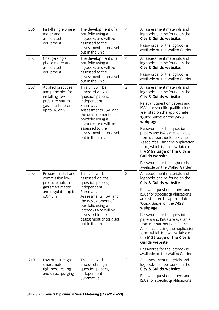| 206 | Install single phase<br>meter and<br>associated<br>equipment                                                                  | The development of a<br>portfolio using a<br>logbooks and will be<br>assessed to the<br>assessment criteria set<br>out in the unit                                                                                                                    | P | All assessment materials and<br>logbooks can be found on the<br>City & Guilds website.<br>Passwords for the logbook is<br>available on the Walled Garden.                                                                                                                                                                                                                                                                                                                                                                         |
|-----|-------------------------------------------------------------------------------------------------------------------------------|-------------------------------------------------------------------------------------------------------------------------------------------------------------------------------------------------------------------------------------------------------|---|-----------------------------------------------------------------------------------------------------------------------------------------------------------------------------------------------------------------------------------------------------------------------------------------------------------------------------------------------------------------------------------------------------------------------------------------------------------------------------------------------------------------------------------|
| 207 | Change single<br>phase meter and<br>associated<br>equipment                                                                   | The development of a<br>portfolio using a<br>logbooks and will be<br>assessed to the<br>assessment criteria set<br>out in the unit                                                                                                                    | P | All assessment materials and<br>logbooks can be found on the<br>City & Guilds website.<br>Passwords for the logbook is<br>available on the Walled Garden.                                                                                                                                                                                                                                                                                                                                                                         |
| 208 | Applied practices<br>and principles for<br>installing low<br>pressure natural<br>gas smart meters<br>up to U6 only            | This unit will be<br>assessed via gas<br>question papers,<br>Independent<br>Summative<br>Assessments (ISA) and<br>the development of a<br>portfolio using a<br>logbooks and will be<br>assessed to the<br>assessment criteria set<br>out in the unit. | G | All assessment materials and<br>logbooks can be found on the<br>City & Guilds website.<br>Relevant question papers and<br>ISA's for specific qualifications<br>are listed on the appropriate<br>'Quick Guide' on the 7428<br>webpage.<br>Passwords for the question<br>papers and ISA's are available<br>from our partner Blue Flame<br>Associates using the application<br>form, which is also available on<br>the 6189 page of the City &<br>Guilds website.<br>Passwords for the logbook is<br>available on the Walled Garden. |
| 209 | Prepare, install and<br>commission low<br>pressure natural<br>gas smart meter<br>and regulator up to<br>6.0 <sub>m3</sub> /hr | This unit will be<br>assessed via gas<br>question papers,<br>Independent<br>Summative<br>Assessments (ISA) and<br>the development of a<br>portfolio using a<br>logbooks and will be<br>assessed to the<br>assessment criteria set<br>out in the unit. | G | All assessment materials and<br>logbooks can be found on the<br>City & Guilds website.<br>Relevant question papers and<br>ISA's for specific qualifications<br>are listed on the appropriate<br>'Quick Guide' on the 7428<br>webpage.<br>Passwords for the question<br>papers and ISA's are available<br>from our partner Blue Flame<br>Associates using the application<br>form, which is also available on<br>the 6189 page of the City &<br>Guilds website.<br>Passwords for the logbook is<br>available on the Walled Garden. |
| 210 | Low pressure gas<br>smart meter<br>tightness testing<br>and direct purging                                                    | This unit will be<br>assessed via gas<br>question papers,<br>Independent<br>Summative                                                                                                                                                                 | G | All assessment materials and<br>logbooks can be found on the<br>City & Guilds website.<br>Relevant question papers and<br>ISA's for specific qualifications                                                                                                                                                                                                                                                                                                                                                                       |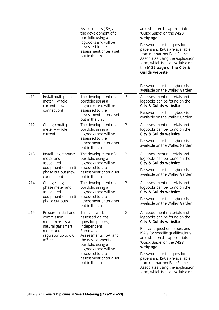|     |                                                                                                                         | Assessments (ISA) and<br>the development of a<br>portfolio using a<br>logbooks and will be<br>assessed to the<br>assessment criteria set<br>out in the unit.                                                                                          |           | are listed on the appropriate<br>'Quick Guide' on the 7428<br>webpage.<br>Passwords for the question<br>papers and ISA's are available<br>from our partner Blue Flame<br>Associates using the application<br>form, which is also available on<br>the 6189 page of the City &<br>Guilds website.                                                                                                             |
|-----|-------------------------------------------------------------------------------------------------------------------------|-------------------------------------------------------------------------------------------------------------------------------------------------------------------------------------------------------------------------------------------------------|-----------|-------------------------------------------------------------------------------------------------------------------------------------------------------------------------------------------------------------------------------------------------------------------------------------------------------------------------------------------------------------------------------------------------------------|
|     |                                                                                                                         |                                                                                                                                                                                                                                                       |           | Passwords for the logbook is<br>available on the Walled Garden.                                                                                                                                                                                                                                                                                                                                             |
| 211 | Install multi phase<br>meter - whole<br>current (new<br>connection)                                                     | The development of a<br>portfolio using a<br>logbooks and will be<br>assessed to the<br>assessment criteria set<br>out in the unit                                                                                                                    | P         | All assessment materials and<br>logbooks can be found on the<br>City & Guilds website.<br>Passwords for the logbook is<br>available on the Walled Garden.                                                                                                                                                                                                                                                   |
| 212 | Change multi phase<br>$meter - whole$<br>current                                                                        | The development of a<br>portfolio using a<br>logbooks and will be<br>assessed to the<br>assessment criteria set<br>out in the unit                                                                                                                    | $\sf P$   | All assessment materials and<br>logbooks can be found on the<br>City & Guilds website.<br>Passwords for the logbook is<br>available on the Walled Garden.                                                                                                                                                                                                                                                   |
| 213 | Install single phase<br>meter and<br>associated<br>equipment on multi<br>phase cut-out (new<br>connection)              | The development of a<br>portfolio using a<br>logbooks and will be<br>assessed to the<br>assessment criteria set<br>out in the unit                                                                                                                    | ${\sf P}$ | All assessment materials and<br>logbooks can be found on the<br>City & Guilds website.<br>Passwords for the logbook is<br>available on the Walled Garden.                                                                                                                                                                                                                                                   |
| 214 | Change single<br>phase meter and<br>associated<br>equipment on multi<br>phase cut-outs                                  | The development of a<br>portfolio using a<br>logbooks and will be<br>assessed to the<br>assessment criteria set<br>out in the unit                                                                                                                    | P         | All assessment materials and<br>logbooks can be found on the<br>City & Guilds website.<br>Passwords for the logbook is<br>available on the Walled Garden.                                                                                                                                                                                                                                                   |
| 215 | Prepare, install and<br>commission<br>medium pressure<br>natural gas smart<br>meter and<br>regulator up to 6.0<br>m3/hr | This unit will be<br>assessed via gas<br>question papers,<br>Independent<br>Summative<br>Assessments (ISA) and<br>the development of a<br>portfolio using a<br>logbooks and will be<br>assessed to the<br>assessment criteria set<br>out in the unit. | G         | All assessment materials and<br>logbooks can be found on the<br>City & Guilds website.<br>Relevant question papers and<br>ISA's for specific qualifications<br>are listed on the appropriate<br>'Quick Guide' on the 7428<br>webpage.<br>Passwords for the question<br>papers and ISA's are available<br>from our partner Blue Flame<br>Associates using the application<br>form which is also available on |

form, which is also available on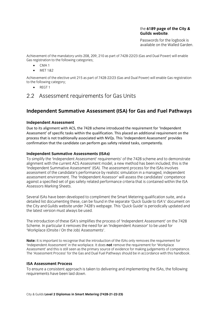### the 6189 page of the City & **Guilds website**

Passwords for the logbook is. available on the Walled Garden.

Achievement of the mandatory units 208, 209, 210 as part of 7428-22/23 (Gas and Dual Power) will enable Gas registration to the following categories;  $\epsilon$  categories; the following categories; the following categories; the following categories; the following categories; the following categories; the following categories; the following categories; the following categori

- $\bullet$  CMA1<br> $\bullet$  MET18
- MET 1&2

Achievement of the elective unit 215 as part of 7428-22/23 (Gas and Dual Power) will enable Gas registration to the following category;

• REGT 1

# 2.2 Assessment requirements for Gas Units for Gas Units for Gas Units for Gas Units for Gas Units for Gas Units

# **Independent Summative Assessment (ISA) for Gas and Fuel Pathways**

**Independent Condential Assets** Scheme introduced the requirement for 'Independent Assessment' of specific tasks within the qualification. This placed an additional requirement on the process that is not traditionally associated with NVQs. This 'Independent Assessment' provides confirmation that the candidate can perform gas safety related tasks, competently.

**Independent Summative Assessments (ISAs)**<br>To simplify the 'Independent Assessment' requirements' of the 7428 scheme and to demonstrate alignment with the current ACS Assessment model, a new method has been included; this is the 'Independent Summative Assessment' (ISA). The assessment process for the ISAs involves assessment of the candidate's performance by realistic simulation in a managed, independent assessment environment. The 'Independent Assessor' will assess the candidates' competence against a specified set of gas safety related performance criteria that is contained within the ISA Assessors Marking Sheets. Assessors Marking Sheets.

Several ISAs have been developed to compliment the Smart Metering qualification suite, and a<br>detailed list documenting these, can be found in the separate 'Quick Guide to ISA's' document on the City and Guilds website under 7428's webpage. This 'Quick Guide' is periodically updated and the latest version must always be used.  $\mathcal{L}_{\text{max}}$ 

The introduction of these ISA's simplifies the process of 'Independent Assessment' on the 7428<br>Scheme. In particular it removes the need for an 'Independent Assessor' to be used for 'Workplace (Onsite / On the Job) Assessments'. 'Workplace (Onsite / On the Job) Assessments'.

**Note:** It is important to recognise that the introduction of the ISAs only removes the requirement for 'Independent Assessment' in the workplace. It does **not** remove the requirement for 'Workplace Assessment' and this is still seen as the primary source of evidence for making judgements of competence. The 'Assessment Process' for the Gas and Dual Fuel Pathways should be in accordance with this handbook. The 'Assessment Process' for the Gas and Dual Fuel Pathways should be in accordance with this handbook.

**ISA Assessment Process**<br>To ensure a consistent approach is taken to delivering and implementing the ISAs, the following requirements have been laid down. requirements have been laid down.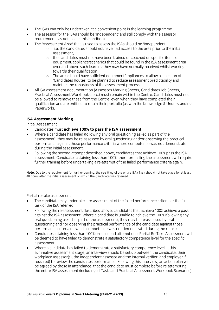- The ISAs can only be undertaken at a convenient point in the learning programme.
- The assessor for the ISAs should be 'Independent' and still comply with the assessor requirements as detailed in this handbook.
- The 'Assessment Area' that is used to assess the ISAs should be 'Independent';<br>Le the candidates should not have had access to the area prior to t
	- <sup>o</sup> i.e. the candidates should not have had access to the area prior to the initial
	- o the candidates must not have been trained or coached on specific items of<br>equipment/appliance/scenarios that could be found in the ISA assessment a over and above such learning they may have normally received whilst working towards their qualification
	- o The area should have sufficient equipment/appliances to allow a selection of 'Candidates Routes' to be planned to reduce assessment predictability and maintain the robustness of the assessment process.
- All ISA assessment documentation (Assessors Marking Sheets, Candidates Job Sheets, Practical Assessment Workbooks, etc.) must remain within the Centre. Candidates must not be allowed to remove these from the Centre, even when they have completed their qualification and are entitled to retain their portfolio (as with the Knowledge & Understanding Paperwork). Paperwork).

## **ISA Assessment Marking**

- Candidates must **achieve 100% to pass the ISA assessment**.<br>• Where a candidate has failed (following any oral questioning ask
- Where a candidate has failed (following any oral questioning asked as part of the<br>assessment), they may be re-assessed by oral questioning and/or observing the practical performance against those performance criteria where competence was not demonstrate during the initial assessment.
- Following the second attempt described above, candidates that achieve 100% pass the ISA assessment. Candidates attaining less than 100%, therefore failing the assessment will require further training before undertaking a re-attempt of the failed performance criteria again. further training before undertaking a re-attempt of the failed performance criteria again.

**Note:** Due to the requirement for further training, the re-sitting of the entire ISA / Task should not take place for at least 48 hours after the initial assessment on which the Candidate was referred.

Partial re-take assessment

- The candidate may undertake a re-assessment of the failed performance criteria or the full task of the ISA referred
- Following the re-assessment described above, candidates that achieve 100% achieve a pass<br>against the ISA assessment Where a candidate is unable to achieve the 100% (following any oral questioning asked as part of the assessment), they may be re-assessed by oral questioning and / or observing the practical performance of the candidate against those performance criteria on which competence was not demonstrated during the retake.
- Candidates attaining less than 100% on a second attempt on a Partial Re-Take Assessment will be deemed to have failed to demonstrate a satisfactory competence level for the specific be deemed to have failed to demonstrate a satisfactory competence level for the specific
- Where a candidate has failed to demonstrate a satisfactory competence level at this<br>summative assessment stage, an interview should be set un between the candidate summative assessment stage, an interview should be set up between the candidate, their workplace assessor(s), the independent assessor and the internal verifier (and employer if required) to review the candidates performance. Following this interview, an action plan will be agreed by those in attendance, that the candidate must complete before re-attempting the entire ISA assessment (including all Tasks and Practical Assessment Workbook Scenarios)  $t$  as set the ISA assessment (including all Tasks and Practical Assessment Workbook Scenarios)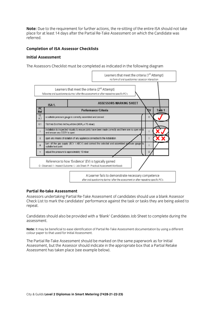**Note:** Due to the requirement for further actions, the re-sitting of the entire ISA should not take place for at least 14 days after the Partial Re-Take Assessment on which the Candidate was place for at least 14 days after the Partial Re-Take Assessment on which the Candidate was considered.

#### **Completion of ISA Assessor Checklists Completion of ISA Assessor Checklists**

#### **Initial Assessment**



#### **Partial Re-take Assessment**

Assessors undertaking Partial Re-Take Assessment of candidates should use a blank Assessor Check List to mark the candidates' performance against the task or tasks they are being asked to  $\Gamma$  List to mathematic candidates  $\Gamma$  performance against the tasks they are being asked to task or tasks they are being asked to task or tasks they are being asked to task or tasks the tasks they are being the set of t repeat.

Candidates should also be provided with a 'Blank' Candidates Job Sheet to complete during the assessment.

**Note:** It may be beneficial to ease identification of Partial Re-Take Assessment documentation by using a different colour paper to that used for Initial Assessment. colour paper to that used for Initial Assessment.

The Partial Re-Take Assessment should be marked on the same paperwork as for Initial Assessment has taken place (see example below). Assessment has taken place (see example below).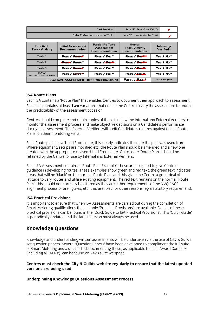| Task Decision:                      | Pass (P), Refer (R) or Fail (F) |  |
|-------------------------------------|---------------------------------|--|
| Partial Re-Take Assessment of Task: | Yes (Y) or Not Applicable (N/A) |  |

| Practical<br><b>Task / Activity</b>            | <b>Initial Assessment</b><br><b>Recommendation</b> | <b>Partial Re-Take</b><br><b>Assessment</b><br>Recommendation | Overall<br>Task / Activity<br>Recommendation 1 | Internally<br>Verified <sup>2</sup> |
|------------------------------------------------|----------------------------------------------------|---------------------------------------------------------------|------------------------------------------------|-------------------------------------|
| Task 1                                         | PASS / REFERA                                      | PASS / FAL *                                                  | PASS / FALL                                    | Yes / No."                          |
| Task 2                                         | <b>PASS / REFER *</b>                              | PASS / <b>Linux</b>                                           | PASS / FALLER                                  | Yes / No."                          |
| Task 3                                         | PASS / REFERE                                      | PASS / FAL <sup>*</sup>                                       | <b>PASS / HOURS</b>                            | Yes / No.                           |
| <b>PAW</b><br>Result from Candidates Job Sheet | PASS / Rever                                       | PASS / FAL *                                                  | <b>PASS / HALL</b>                             | Yes / No."                          |
|                                                | PRACTICAL ASSESSMENT RECOMMENDATION:               | PASS <b>Example</b>                                           | * Delete as required                           |                                     |

### **ISA Route Plans**

Each ISA contains a 'Route Plan' that enables Centres to document their approach to assessment. Each plan contains at least two variations that enable the Centre to vary the assessment to reduce the predictability of the assessment occasion. the predictability of the assessment occasion.

Centres should complete and retain copies of these to allow the Internal and External Verifiers to monitor the assessment process and make objective decisions on a Candidate's performance during an assessment. The External Verifiers will audit Candidate's records against these 'Route Plans' on their monitoring visits. Plans' on their monitoring visits.

Each Route plan has a 'Used From' date, this clearly indicates the date the plan was used from. created with the appropriate revised 'Used From' date. Out of date 'Route Plans' should be retained by the Centre for use by Internal and External Verifiers. retained by the Centre for use by Internal and External Verifiers.

Each ISA Assessment contains a 'Route Plan Example'; these are designed to give Centres areas that will be 'blank' on the normal 'Route Plan' and this gives the Centre a great deal of latitude to vary routes and utilise existing equipment. The red text remains on the normal 'Route Plan', this should not normally be altered as they are either requirements of the NVO / ACS alignment process or are figures, etc. that are fixed for other reasons (eg a statutory requirement).  $\alpha$  is the figures, equiverent reasons (exception reasons (eg a statutory requirement).

### **ISA Practical Provisions**

It is important to ensure that when ISA Assessments are carried out during the completion of Smart Metering qualifications that suitable 'Practical Provisions' are available. Details of these practical provisions can be found in the 'Quick Guide to ISA Practical Provisions'. This 'Quick Guide' is periodically updated and the latest version must always be used. is periodically updated and the latest version must always be used.

# **Knowledge Questions**

Knowledge and understanding written assessments will be undertaken via the use of City & Guilds of Smart Metering and a detailed list documenting these, as applicable to each Award Complex (including all 'APRs'), can be found on 7428 suite webpage. (i.e.  $\alpha$ 

## **Centres must check the City & Guilds website regularly to ensure that the latest updated versions are being used**.

## **Underpinning Knowledge Questions Assessment Process**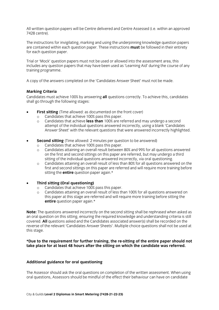All written question papers will be Centre delivered and Centre Assessed (i.e. within an approved 7428 centre).

The instructions for invigilating, marking and using the underpinning knowledge question papers are contained within each question paper. These instructions **must** be followed in their entirety for each question paper. for each question paper.

Trial or 'Mock' question papers must not be used or allowed into the assessment area, this includes any question papers that may have been used as 'Learning Aid' during the course of any training programme. training programme.

A complete on the answers completed on the answers  $\mathcal{A}$  and  $\mathcal{A}$  must not be made.

**Marking Criteria**<br>Candidates must achieve 100% by answering **all** questions correctly. To achieve this, candidates shall go through the following stages:  $\begin{array}{ccc} \circ & \circ & \circ & \circ \end{array}$ 

- **First sitting** (Time allowed: as documented on the front cover)
	- o Candidates that achieve 100% pass this paper.<br>
	o Candidates that achieve less than 100% are re
	- Candidates that achieve **less than** 100% are referred and may undergo a second attempt of the individual questions answered incorrectly, using a blank 'Candidates' Answer Sheet' with the relevant questions that were answered incorrectly highlighted. Answer Sheet' with the relevant questions that were answered incorrectly highlighted.
- **Second sitting** (Time allowed: 2 minutes per question to be answered)<br> **Candidates that achieve 100% pass this paper.** 
	- o Candidates that achieve 100% pass this paper.<br>
	o Candidates attaining an overall result between
	- Candidates attaining an overall result between 80% and 99% for all questions answered on the first and second sittings on this paper are referred, but may undergo a third sitting of the individual questions answered incorrectly, via oral questioning.
	- o Candidates attaining an overall result of less than 80% for all questions answered on the<br>first and second sittings on this naner are referred and will require more training before first and second sittings on this paper are referred and will require more training before sitting the **entire** question paper again.\* sitting the **entire** question paper again.\*

- **Third sitting (Oral questioning)**<br>  $\circ$  Candidates that achieve 100% pass this paper. o Candidates that achieve 100% pass this paper.<br>o Candidates attaining an overall result of less th
- <sup>o</sup> Candidates attaining an overall result of less than 100% for all questions answered on this paper at this stage are referred and will require more training before sitting the **entire** question paper again.\* **entire** question paper again.\*

**Note:** The questions answered incorrectly on the second sitting shall be rephrased when asked as an oral question on this sitting, ensuring the required knowledge and understanding criteria is still covered. All questions asked and the Candidates associated answer(s) shall be recorded on the reverse of the relevant 'Candidates Answer Sheets'. Multiple choice questions shall not be used at reverse of the relevant 'Candidates Answer Sheets'. Multiple choice questions shall not be used at  $\frac{1}{\sqrt{2}}$ 

## **\*Due to the requirement for further training, the re-sitting of the entire paper should not take place for at least 48 hours after the sitting on which the candidate was referred.**

#### **Additional guidance for oral questioning**

The Assessor should ask the oral questions on completion of the written assessment. When using oral questions, Assessors should be mindful of the effect their behaviour can have on candidate oral questions, Assessors should be mindful of the effect their behaviour can have on candidate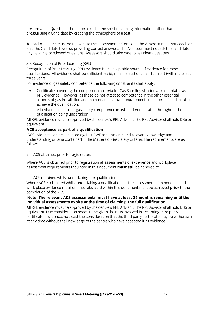performance. Questions should be asked in the spirit of gaining information rather than<br>pressurising a Candidate by creating the atmosphere of a test. pressurising a Candidate by creating the atmosphere of a test.

All oral questions must be relevant to the assessment criteria and the Assessor must not coach or lead the Candidate towards providing correct answers. The Assessor must not ask the candidate any 'leading' or 'closed' questions. Assessors should take care to ask clear questions. any 'leading' or 'closed' questions. Assessors should take care to ask clear questions.

3.3 Recognition of Prior Learning (RPL)<br>Recognition of Prior Learning (RPL) evidence is an acceptable source of evidence for these qualifications. All evidence shall be sufficient, valid, reliable, authentic and current (within the last three years).

For evidence of gas safety competence the following constraints shall apply: For evidence of gas safety competence the following constraints shall apply:

• Certificates covering the competence criteria for Gas Safe Registration are acceptable as RPL evidence. However, as these do not attest to competence in the other essential aspects of gas installation and maintenance, all unit requirements must be satisfied in full to achieve the qualification.

All evidence of current gas safety competence must be demonstrated throughout the qualification being undertaken.

All RPL evidence must be approved by the centre's RPL Advisor. The RPL Advisor shall hold D36 or equivalent. All  $\mathcal{L}$  relations by the centre's RPL Advisor. The RPL Advisor. The RPL Advisor shall hold D36 or shall hold D36 or shall hold D36 or shall hold D36 or shall hold D36 or shall hold D36 or shall hold D36 or

#### ACS acceptance as part of a qualification

ACS evidence can be accepted against RWE assessments and relevant knowledge and understanding criteria contained in the Matters of Gas Safety criteria. The requirements are as understanding criteria contained in the Matters of Gas Safety criteria. The requirements are assumed in the requirements are assumed in the requirements are assumed in the requirements are assumed in the requirements are a

a. ACS obtained prior to registration.

Where ACS is obtained prior to registration all assessments of experience and workplace assessment requirements tabulated in this document **must still** be adhered to. assessment requirements tabulated in this document **must still** be adhered to.

b. ACS obtained whilst undertaking the qualification.<br>Where ACS is obtained whilst undertaking a qualification, all the assessment of experience and work place evidence requirements tabulated within this document must be achieved **prior** to the completion of the ACS.

#### Note: The relevant ACS assessments, must have at least 36 months remaining until the individual assessments expire at the time of claiming the full qualification.

All RPL evidence must be approved by the centre's RPL Advisor. The RPL Advisor shall hold D36 or equivalent. Due consideration needs to be given the risks involved in accepting third party certificated evidence, not least the consideration that the third party certificate may be withdrawn at any time without the knowledge of the centre who have accepted it as evidence. at a particle the centre without the centre who have accepted it as evidence.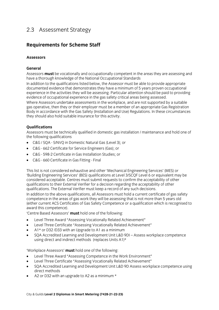# $\frac{3}{3}$

# **Requirements for Scheme Staff**

### **Assessors**

### General

Assessors **must** be vocationally and occupationally competent in the areas they are assessing and have a thorough knowledge of the National Occupational Standards

In addition to the qualifications listed below, the Assessor must be able to provide appropriate documented evidence that demonstrates they have a minimum of 5 years proven occupational experience in the activities they will be assessing. Particular attention should be paid to providing evidence of occupational experience in the gas safety critical areas being assessed.

Where Assessors undertake assessments in the workplace, and are not supported by a suitable gas operative, then they or their employer must be a member of an appropriate Gas Registration Body in accordance with the Gas Safety (Installation and Use) Regulations. In these circumstances they should also hold suitable insurance for this activity.  $\mathbf{f}$  should suitable insurance for this activity.

**Qualifications**<br>Assessors must be technically qualified in domestic gas installation / maintenance and hold one of the following qualifications

- C&G / SQA S/NVQ in Domestic Natural Gas (Level 3); or
- C&G 662 Certificate for Service Engineers (Gas); or
- C&G 598-2 Certificate in Gas Installation Studies; or
- C&G 660 Certificate in Gas Fitting Final

This list is not considered exhaustive and other 'Mechanical Engineering Services' (MES) or considered acceptable. Centres must submit requests to confirm the acceptability of other qualifications to their External Verifier for a decision regarding the acceptability of other qualifications. The External Verifier must keep a record of any such decisions.

In addition to the above qualifications, all Assessors must hold a current certificate of gas safety competence in the areas of gas work they will be assessing that is not more than 5 years old (either current ACS Certificates of Gas Safety Competence or a qualification which is recognised to award this competence).

'Centre Based Assessors' must hold one of the following:

- 'Centre Based Assessors' **must** hold one of the following: • Level Three Award "Assessing Vocationally Related Achievement"
- Level Three Certificate "Assessing Vocationally Related Achievement"<br>•  $41 \times 257.033$  with an Ungrade to 41 as a minimum
- $A1*$  or D32/D33 with an Upgrade to A1 as a minimum
- SQA Accredited Learning and Development Unit L&D 9DI Assess workplace competence using direct and indirect methods (replaces Units A1)\*

- Level Three Award "Assessing Competence in the Work Environment"<br>• Level Three Certificate "Assessing Vocationally Pelated Achievement"
- Level Three Certificate "Assessing Vocationally Related Achievement"
- SQA Accredited Learning and Development Unit L&D 9D Assess workplace competence using
- A2 or D32 with an upgrade to A2 as a minimum \*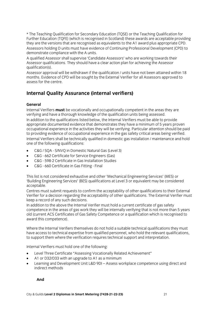\* The Teaching Qualification for Secondary Education (TQSE) or the Teaching Qualification for Further Education (TOFE) (which is recognised in Scotland) these awards are acceptable providing they are the versions that are recognised as equivalents to the A1 award plus appropriate CPD.

Assessors holding D units must have evidence of Continuing Professional Development (CPD) to demonstrate compliance with the A units.

A qualified Assessor shall supervise 'Candidate Assessors' who are working towards their Assessor qualifications. They should have a clear action plan for achieving the Assessor qualification(s).

Assessor approval will be withdrawn if the qualification / units have not been attained within 18 months. Evidence of CPD will be sought by the External Verifier for all Assessors approved to assess for the centre.

# **Internal Quality Assurance (internal verifiers)**

### General

Internal Verifiers **must** be vocationally and occupationally competent in the areas they are verifying and have a thorough knowledge of the qualification units being assessed. In addition to the qualifications listed below, the Internal Verifiers must be able to provide appropriate documented evidence that demonstrates they have a minimum of 5 years proven occupational experience in the activities they will be verifying. Particular attention should be paid to providing evidence of occupational experience in the gas safety critical areas being verified. Internal Verifiers shall be technically qualified in domestic gas installation / maintenance and hold one of the following qualifications:

- one of the following  $\frac{1}{\sqrt{2}}$ • C&G / SQA - S/NVQ in Domestic Natural Gas (Level 3)<br>• C&G - 662 Certificate for Service Engineers (Gas)
- C&G 662 Certificate for Service Engineers (Gas)<br>• C&G 598-2 Certificate in Gas Installation Studies
- C&G 598-2 Certificate in Gas Installation Studies
- C&G 660 Certificate in Gas Fitting Final

This list is not considered exhaustive and other 'Mechanical Engineering Services' (MES) or acceptable.

Centres must submit requests to confirm the acceptability of other qualifications to their External Verifier for a decision regarding the acceptability of other qualifications. The External Verifier must keep a record of any such decisions.

In addition to the above the Internal Verifier must hold a current certificate of gas safety competence in the areas of gas work they will be internally verifying that is not more than 5 years old (current ACS Certificates of Gas Safety Competence or a qualification which is recognised to award this competence). award this competence).

Where the Internal Verifiers themselves do not hold a suitable technical qualifications they must have access to technical expertise from qualified personnel, who hold the relevant qualifications, to support them where the verification requires technical support and interpretation. to support them where the verification requires technical support and interpretation.

- Internal Verifiers must hold one of the following: • Level Three Certificate "Assessing Vocationally Related Achievement"<br>• 41 or D32/D33 with an ungrade to 41 as a minimum
- A1 or D32/D33 with an upgrade to A1 as a minimum
- Learning and Development Unit L&D 9DI Assess workplace competence using direct and indirect methods indirect methods

 **And**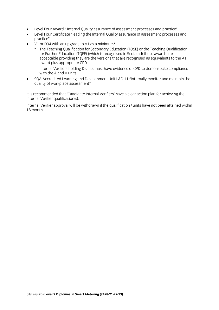- Level Four Award " Internal Quality assurance of assessment processes and practice"
- Level Four Certificate "leading the Internal Quality assurance of assessment processes and practice"
- $\overrightarrow{V}$ 1 or D34 with an upgrade to V1 as a minimum\*<br>  $\overrightarrow{v}$  The Teaching Qualification for Secondary Edu
	- \* The Teaching Qualification for Secondary Education (TQSE) or the Teaching Qualification acceptable providing they are the versions that are recognised as equivalents to the A1 award plus appropriate CPD. Internal Verifiers holding D units must have evidence of CPD to demonstrate compliance
	- with the A and V units
- SQA Accredited Learning and Development Unit L&D 11 "Internally monitor and maintain the<br>quality of workplace assessment"  $q = q$  workplace assessment  $q = q$

It is recommended that 'Candidate Internal Verifiers' have a clear action plan for achieving the Internal Verifier qualification(s).

Internal Verifier approval will be withdrawn if the qualification / units have not been attained within  $18 \text{ months}$  will be withdrawn if the  $\frac{1}{10}$  the  $\frac{1}{10}$  the  $\frac{1}{10}$  the  $\frac{1}{10}$  the  $\frac{1}{10}$  the  $\frac{1}{10}$  the  $\frac{1}{10}$  the  $\frac{1}{10}$  the  $\frac{1}{10}$  the  $\frac{1}{10}$  the  $\frac{1}{10}$  the  $\frac{1}{10}$  the  $\frac{1}{$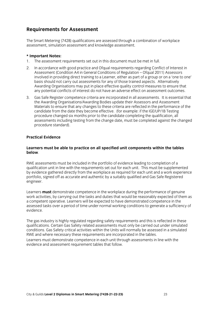# **Requirements for Assessment**

The Smart Metering (7428) qualifications are assessed through a combination of workplace assessment, simulation assessment and knowledge assessment.

#### \* Important Notes:

- 1. The assessment requirements set out in this document must be met in full.
- 2. In accordance with good practice and Ofgual requirements regarding Conflict of Interest in Assessment (Condition A4 in General Conditions of Regulation - Ofqual 2011) Assessors involved in providing direct training to a Learner, either as part of a group or on a 'one to one' basis should not carry out assessments for any of those trained aspects. Alternatively Awarding Organisations may put in place effective quality control measures to ensure that any potential conflicts of interest do not have an adverse effect on assessment outcomes.
- 3. Gas Safe Register competence criteria are incorporated in all assessments. It is essential that the Awarding Organisations/Awarding Bodies update their Assessors and Assessment Materials to ensure that any changes to these criteria are reflected in the performance of the candidate from the date they become effective. (for example: if the IGE/UP/1B Testing procedure changed six months prior to the candidate completing the qualification,  $\partial \tilde{I}$ assessments including testing from the change date, must be completed against the changed procedure standard). procedure standard).

#### **Practical Evidence Practical Evidence**

## **Learners must be able to practice on all specified unit components within the tables below**.

RWE assessments must be included in the portfolio of evidence leading to completion of a qualification unit in line with the requirements set out for each unit. This must be supplemented by evidence gathered directly from the workplace as required for each unit and a work experience portfolio, signed off as accurate and authentic by a suitably qualified and Gas Safe Registered portfolio di authentic by a suitable authentic by a suitable product by a suitable Registered and Gas Safe Registered and Gas Safe Registered and Gas Safe Registered and Gas Safe Registered and Gas Safe Registered and Gas engineer.

Learners **must** demonstrate competence in the workplace during the performance of genuine work activities, by carrying out the tasks and duties that would be reasonably expected of them as a competent operative. Learners will be expected to have demonstrated competence in the assessed tasks over a period of time under normal working conditions to generate a sufficiency of assessed tasks over a period of time under normal working conditions to generate a sufficiency of time under  $\frac{1}{2}$ evidence.

The gas industry is highly regulated regarding safety requirements and this is reflected in these conditions. Gas Safety critical activities within the Units will normally be assessed in a simulated RWE and where necessary these requirements are incorporated in the tables.

Learners must demonstrate competence in each unit through assessments in line with the evidence and assessment requirement tables that follow. evidence and assessment requirement tables that follow.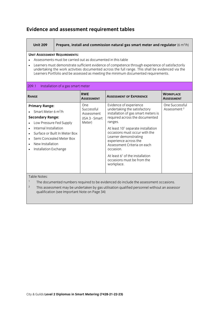## **Evidence and assessment requirement tables**

| <b>Unit 209</b>                                                                                                                                                                                                                                                                                                                                                                                                 |                                   |                                                                    | Prepare, install and commission natural gas smart meter and regulator $(6 \text{ m}^3/h)$                                                                                                                                                                                                                                   |                                           |
|-----------------------------------------------------------------------------------------------------------------------------------------------------------------------------------------------------------------------------------------------------------------------------------------------------------------------------------------------------------------------------------------------------------------|-----------------------------------|--------------------------------------------------------------------|-----------------------------------------------------------------------------------------------------------------------------------------------------------------------------------------------------------------------------------------------------------------------------------------------------------------------------|-------------------------------------------|
| <b>UNIT ASSESSMENT REQUIREMENTS:</b><br>Assessments must be carried out as documented in this table<br>Learners must demonstrate sufficient evidence of competence through experience of satisfactorily<br>$\bullet$<br>undertaking the work activities documented across the full range. This shall be evidenced via the<br>Learners Portfolio and be assessed as meeting the minimum documented requirements. |                                   |                                                                    |                                                                                                                                                                                                                                                                                                                             |                                           |
| 209.1                                                                                                                                                                                                                                                                                                                                                                                                           | Installation of a gas smart meter |                                                                    |                                                                                                                                                                                                                                                                                                                             |                                           |
| <b>RANGE</b>                                                                                                                                                                                                                                                                                                                                                                                                    |                                   | <b>RWE</b><br><b>ASSESSMENT</b>                                    | <b>ASSESSMENT OF EXPERIENCE</b>                                                                                                                                                                                                                                                                                             | <b>WORKPLACE</b><br><b>ASSESSMENT</b>     |
| <b>Primary Range:</b><br>Smart Meter 6 $m^3/h$<br><b>Secondary Range:</b><br>Low Pressure Fed Supply<br>Internal Installation<br>$\bullet$<br>$\bullet$<br>Semi Concealed Meter Box<br>$\bullet$<br>New Installation<br>$\bullet$<br>Installation Exchange<br>$\bullet$                                                                                                                                         | Surface or Built In Meter Box     | One<br>Successful<br><b>Assessment</b><br>(ISA 3 - Smart<br>Meter) | Evidence of experience<br>undertaking the satisfactory<br>installation of gas smart meters is<br>required across the documented<br>ranges.<br>At least 10 <sup>1</sup> separate installation<br>occasions must occur with the<br>Learner demonstrating<br>experience across the<br>Assessment Criteria on each<br>occasion. | One Successful<br>Assessment <sup>2</sup> |
|                                                                                                                                                                                                                                                                                                                                                                                                                 |                                   |                                                                    | At least $61$ of the installation<br>occasions must be from the<br>workplace.                                                                                                                                                                                                                                               |                                           |

 $\overline{\phantom{a}}$ 

Table Notes:<br><sup>1</sup> The documented numbers required to be evidenced do include the assessment occasions.

<sup>2</sup> This assessment may be undertaken by gas utilisation qualified personnel without an assessor <sup>2</sup> This assessment may be undertaken by gas utilisation qualified personnel without an assessor  $\frac{1}{2}$  and  $\frac{1}{2}$  important  $\frac{1}{2}$  on  $\frac{1}{2}$  on  $\frac{1}{2}$  on  $\frac{1}{2}$  on  $\frac{1}{2}$ 

workplace.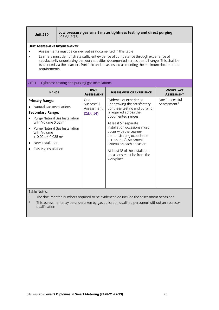| <b>Unit 210</b> | Low pressure gas smart meter tightness testing and direct purging<br>(IGEM/UP/1B) |
|-----------------|-----------------------------------------------------------------------------------|
|-----------------|-----------------------------------------------------------------------------------|

- Assessments must be carried out as documented in this table
- Learners must demonstrate sufficient evidence of competence through experience of evidenced via the Learners Portfolio and be assessed as meeting the minimum documented evidence via the Learners Portfolio and be assessed as meeting the minimum documents of minimum documents as m<br>The minimum documents as meeting the minimum documents as meeting the minimum documents as meeting the minimum requirements.

#### 210.1 Tightness testing and purging gas installations

| <b>RANGE</b>                                                                                                                                                                                                                                                                                     | <b>RWE</b><br><b>ASSESSMENT</b>             | <b>ASSESSMENT OF EXPERIENCE</b>                                                                                                                                                                                                                                                                                                                                                                                    | <b>WORKPLACE</b><br><b>ASSESSMENT</b>     |  |  |
|--------------------------------------------------------------------------------------------------------------------------------------------------------------------------------------------------------------------------------------------------------------------------------------------------|---------------------------------------------|--------------------------------------------------------------------------------------------------------------------------------------------------------------------------------------------------------------------------------------------------------------------------------------------------------------------------------------------------------------------------------------------------------------------|-------------------------------------------|--|--|
| <b>Primary Range:</b><br>Natural Gas Installations<br><b>Secondary Range:</b><br>Purge Natural Gas Installation<br>with Volume 0.02 m <sup>3</sup><br>Purge Natural Gas Installation<br>with Volume<br>$> 0.02$ m <sup>3</sup> 0.035 m <sup>3</sup><br>New Installation<br>Existing Installation | One<br>Successful<br>Assessment<br>(ISA 14) | Evidence of experience<br>undertaking the satisfactory<br>tightness testing and purging<br>is required across the<br>documented ranges.<br>At least 5 <sup>1</sup> separate<br>installation occasions must<br>occur with the Learner<br>demonstrating experience<br>across the Assessment<br>Criteria on each occasion.<br>At least 3 <sup>1</sup> of the installation<br>occasions must be from the<br>workplace. | One Successful<br>Assessment <sup>2</sup> |  |  |
| Table Notes:                                                                                                                                                                                                                                                                                     |                                             | The decumented numbers required to be evidenced do include the assessment esserience                                                                                                                                                                                                                                                                                                                               |                                           |  |  |

- <sup>1</sup> The documented numbers required to be evidenced do include the assessment occasions
- <sup>2</sup> This assessment may be undertaken by gas utilisation qualified personnel without an assessor qualification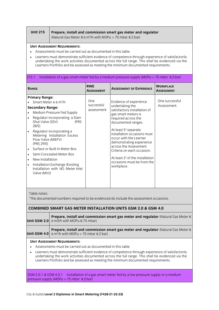**Unit 215 Prepare, install and commission smart gas meter and regulator**  (Natural Gas Meter <sup>≤</sup> 6 m<sup>3</sup> /h with MOPu > 75 mbar <sup>≤</sup> 2 bar)

- Assessments must be carried out as documented in this table.
- Learners must demonstrate sufficient evidence of competence through experience of satisfactorily Learners Portfolio and be assessed as meeting the minimum documented requirements.  $\mathcal{L}$

| <b>Primary Range:</b><br>One successful<br>One<br>Evidence of experience<br>Smart Meter ≤ 6 m <sup>3</sup> /h<br>successful<br>undertaking the<br>Assessment<br><b>Secondary Range:</b><br>satisfactory installation of<br>assessment<br>Medium Pressure Fed Supply<br>$\bullet$<br>gas smart meters is<br>Regulator incorporating a Slam<br>required across the<br>$\bullet$<br>Shut Valve (SSV)<br>(PRS)<br>documented ranges.<br>28/E<br>At least 5 <sup>1</sup> separate<br>Regulator incorporating a<br>$\bullet$<br>installation occasions must<br>Metering Installation Excess<br>occur with the Learner<br>Flow Valve (MIEFV)<br>demonstrating experience<br>(PRS 29/E)<br>across the Assessment<br>Surface or Built In Meter Box<br>$\bullet$<br>Criteria on each occasion.<br>Semi Concealed Meter Box<br>$\bullet$<br>At least $31$ of the installation<br>New Installation<br>$\bullet$<br>occasions must be from the<br>Installation Exchange (Existing<br>$\bullet$<br>workplace.<br>Installation with NO Meter Inlet | <b>RANGE</b> | <b>RWE</b><br><b>ASSESSMENT</b> | <b>ASSESSMENT OF EXPERIENCE</b> | <b>WORKPLACE</b><br><b>ASSESSMENT</b> |
|-------------------------------------------------------------------------------------------------------------------------------------------------------------------------------------------------------------------------------------------------------------------------------------------------------------------------------------------------------------------------------------------------------------------------------------------------------------------------------------------------------------------------------------------------------------------------------------------------------------------------------------------------------------------------------------------------------------------------------------------------------------------------------------------------------------------------------------------------------------------------------------------------------------------------------------------------------------------------------------------------------------------------------------|--------------|---------------------------------|---------------------------------|---------------------------------------|
|                                                                                                                                                                                                                                                                                                                                                                                                                                                                                                                                                                                                                                                                                                                                                                                                                                                                                                                                                                                                                                     | Valve (MIV)) |                                 |                                 |                                       |

| <b>Prepare, install and commission smart gas meter and regulator</b> (Natural Gas Meter $\leq$<br><b>Unit GSM 2.0</b> 6 m3/h with MOPu $\leq$ 75 mbar)                      |
|-----------------------------------------------------------------------------------------------------------------------------------------------------------------------------|
| <b>Prepare, install and commission smart gas meter and regulator</b> (Natural Gas Meter $\leq$<br><b>Unit GSM 4.0</b> 6 m <sup>3</sup> /h with MOPu > 75 mbar $\leq$ 2 bar) |

- **•** Assessments must be carried out as documented in this table
- Learners must demonstrate sufficient evidence of competence through experience of satisfactorily Learners Portfolio and be assessed as meeting the minimum documented requirements Learners Portfolio and be assessed as meeting the minimum documented requirements.

 $S^2$  pressure supply *(MOPu* > *75 mbar*  $\leq$  *2 bar)*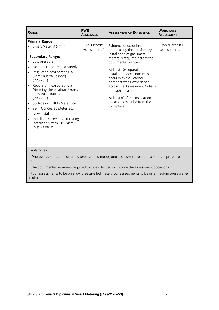| <b>RANGE</b>                                                                                                                                                                                                                                                                                                                                                                                                                                                                                                                         | <b>RWE</b><br><b>ASSESSMENT</b>              | <b>ASSESSMENT OF EXPERIENCE</b>                                                                                                                                                                                                                                                                                                                                                                                        | <b>WORKPLACE</b><br><b>ASSESSMENT</b> |
|--------------------------------------------------------------------------------------------------------------------------------------------------------------------------------------------------------------------------------------------------------------------------------------------------------------------------------------------------------------------------------------------------------------------------------------------------------------------------------------------------------------------------------------|----------------------------------------------|------------------------------------------------------------------------------------------------------------------------------------------------------------------------------------------------------------------------------------------------------------------------------------------------------------------------------------------------------------------------------------------------------------------------|---------------------------------------|
| <b>Primary Range:</b><br>Smart Meter ≤ 6 m <sup>3</sup> /h<br><b>Secondary Range:</b><br>Low pressure<br>Medium Pressure Fed Supply<br>Regulator incorporating a<br>$\bullet$<br>Slam Shut Valve (SSV)<br>(PRS 28/E)<br>Regulator incorporating a<br>$\bullet$<br>Metering Installation Excess<br>Flow Valve (MIEFV)<br>(PRS 29/E)<br>Surface or Built In Meter Box<br>Semi Concealed Meter Box<br>New Installation<br>$\bullet$<br>Installation Exchange (Existing<br>$\bullet$<br>Installation with NO Meter<br>Inlet Valve (MIV)) | Two successful  <br>Assessments <sup>1</sup> | Evidence of experience<br>undertaking the satisfactory<br>installation of gas smart<br>meters is required across the<br>documented ranges.<br>At least 10 <sup>2</sup> separate<br>installation occasions must<br>occur with the Learner<br>demonstrating experience<br>across the Assessment Criteria<br>on each occasion.<br>At least 8 <sup>3</sup> of the installation<br>occasions must be from the<br>workplace. | Two successful<br>assessments         |
| Table notes:                                                                                                                                                                                                                                                                                                                                                                                                                                                                                                                         |                                              |                                                                                                                                                                                                                                                                                                                                                                                                                        |                                       |

<sup>1</sup> One assessment to be on a low pressure fed meter, one assessment to be on a medium pressure fed meter.

The documented numbers required to be evidenced do include the assessment occasions.<br>.

<sup>3</sup> Four assessments to be on a low pressure fed meter, four assessments to be on a medium pressure fed meter. meter.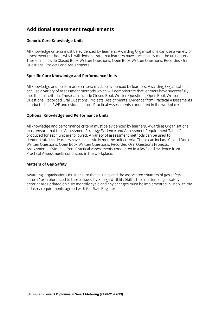# **Additional assessment requirements**

## **Generic Core Knowledge Units**

All knowledge criteria must be evidenced by learners. Awarding Organisations can use a variety of assessment methods which will demonstrate that learners have successfully met the unit criteria. These can include Closed Book Written Questions, Open Book Written Questions, Recorded Oral Questions, Projects and Assignments. Questions, Projects and Assignments.

## **Specific Core Knowledge and Performance Units**

All knowledge and performance criteria must be evidenced by learners. Awarding Organisations can use a variety of assessment methods which will demonstrate that learners have successfully met the unit criteria. These can include Closed Book Written Questions, Open Book Written Questions. Recorded Oral Questions. Projects. Assignments. Evidence from Practical Assessments conducted in a RWE and evidence from Practical Assessments conducted in the workplace. conducted in a RWE and evidence from Practical Assessments conducted in the workplace.

## **Optional Knowledge and Performance Units**

All knowledge and performance criteria must be evidenced by learners. Awarding Organisations must ensure that the "Assessment Strategy Evidence and Assessment Requirement Tables" produced for each unit are followed. A variety of assessment methods can be used to demonstrate that learners have successfully met the unit criteria. These can include Closed Book Written Questions, Open Book Written Questions, Recorded Oral Questions Projects, Assignments, Evidence from Practical Assessments conducted in a RWE and evidence from Practical Assessments conducted in the workplace. Practical Assessments conducted in the workplace.

## **Matters of Gas Safety**

Awarding Organisations must ensure that all units and the associated "matters of gas safety<br>criteria" are referenced to those issued by Energy & Utility Skills. The "matters of gas safety criteria" are updated on a six monthly cycle and any changes must be implemented in line with the industry requirements agreed with Gas Safe Register. industry requirements agreed with Gas Safe Register.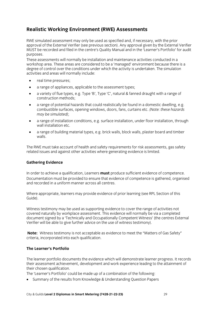# **Realistic Working Environment (RWE) Assessments**

RWE simulated assessment may only be used as specified and, if necessary, with the prior approval of the External Verifier (see previous section). Any approval given by the External Verifier MUST be recorded and filed in the centre's Quality Manual and in the 'Learner's Portfolio' for audit  $M$  becomes and filed in the centre's  $M$  and in the  $\ell$  -Learner's  $M$  for audit  $M$  for audit  $M$  for audit  $M$  for audit  $M$  for audit  $M$  for audit  $M$  for audit  $M$  for audit  $M$  for audit  $M$  for audit  $M$  for audi purposes.<br>These assessments will normally be installation and maintenance activities conducted in a

workshop area. These areas are considered to be a 'managed' environment because there is a degree of control over the conditions under which the activity is undertaken. The simulation activities and areas will normally include: activities and areas will normally include  $\mathcal{L}$ 

- real time pressures;<br>• a range of appliance
- a range of appliances, applicable to the assessment types;<br>• a variety of flue types e g. Type 'R' Type 'C' natural & fance
- a variety of flue types, e.g. Type 'B', Type 'C', natural & fanned draught with a range of construction methods:
- construction methods; • a range of potential hazards that could realistically be found in a domestic dwelling, e.g.<br>Combustible surfaces, opening windows, doors, fans, curtains etc. (Note: these hazards combustible surfaces, opening windows, doors, fans, curtains etc. *(Note: these hazards*
- *may be simulated)*; • a range of installation conditions, e.g. surface installation, under floor installation, through
- wall installation in the contract of the contract of the contract of the contract of the contract of the contract of the contract of the contract of the contract of the contract of the contract of the contract of the contr • a range of building material types, e.g. brick walls, block walls, plaster board and timber walls.

The RWE must take account of health and safety requirements for risk assessments, gas safety related issues and against other activities where generating evidence is limited. related issues and against other activities where generating evidence is limited.

### **Gathering Evidence**

In order to achieve a qualification, Learners **must** produce sufficient evidence of competence. and recorded in a uniform manner across all centres.

 $G$ uide) appropriate, learners may provide evidence of prior learning (see RPL Section of this provide  $G$ Guide).

Witness testimony may be used as supporting evidence to cover the range of activities not covered naturally by workplace assessment. This evidence will normally be via a completed document signed by a 'Technically and Occupationally Competent Witness' (the centres External  $\alpha$  'Terminally a 'Technically and Occupational signed  $\alpha$  of  $\alpha$  is  $\alpha$  in  $\alpha$  . The centres External System on the centres External System on the centres External System on the centres External System on the centre  $\sum_{i=1}^n$ 

**Note:** Witness testimony is not acceptable as evidence to meet the "Matters of Gas Safety" criteria, incorporated into each qualification. criteria, incorporated into each qualification.

#### The Learner's Portfolio **The Learner's Portfolio**

The learner portfolio documents the evidence which will demonstrate learner progress. It records their assessment achievement, development and work experience leading to the attainment of their chosen qualification.

The 'Learner's Portfolio' could be made up of a combination of the following:

• Summary of the results from Knowledge & Understanding Question Papers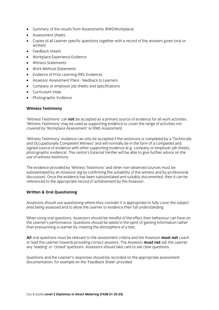- Summary of the results from Assessments (RWE/Workplace)
- Assessment sheets
- Copies of all Learner specific questions together with a record of the answers given (oral or
- Feedback sheets
- Workplace Experience Evidence
- Witness Statements
- Work Method Statements
- Evidence of Prior Learning (RPL Evidence)
- Assessor Assessment Plans feedback to Learners
- Company or employer job sheets and specifications
- Curriculum Vitae
- Photographic Evidence

## **Witness Testimony**

'Witness Testimony' can **not** be accepted as a primary source of evidence for all work activities. covered by 'Workplace Assessment' or RWE Assessment. covered by 'Worker' assessment. Assessment of  $\mathbb{R}^n$ 

'Witness Testimony' evidence can only be accepted if the testimony is completed by a 'Technically signed source of evidence with other supporting evidence (e.g. company or employer job sheets. photographic evidence). The centre's External Verifier will be able to give further advice on the use of witness testimony. use of witness testimony.

The evidence provided by 'Witness Testimony' and other non-observed sources must be substantiated by an Assessor (eg by confirming the suitability of the witness and by professional discussion). Once the evidence has been substantiated and suitably documented, then it can be referenced to the appropriate record of achievement by the Assessor. referenced to the appropriate record of achievement by the Assessor.

## **Written & Oral Questioning**

Assessors should use questioning where they consider it is appropriate to fully cover the subject area being assessed and to allow the Learner to evidence their full understanding. area being assessed and to allow the Learner to evidence their full understanding.

When using oral questions, Assessors should be mindful of the effect their behaviour can have on the Learner's performance. Questions should be asked in the spirit of gaining information rather than pressurising a Learner by creating the atmosphere of a test  $\frac{1}{2}$  that exists  $\frac{1}{2}$  than  $\frac{1}{2}$  the atmosphere of a test.

**All** oral questions must be relevant to the assessment criteria and the Assessor **must not** coach any 'leading' or 'closed' questions. Assessors should take care to ask clear questions. any 'leading' or 'closed' questions. Assessors should take care to ask clear questions.

Questions and the Learner's responses should be recorded on the appropriate assessment documentation, for example on the 'Feedback Sheet' provided. documentation, for example on the 'Feedback Sheet' provided.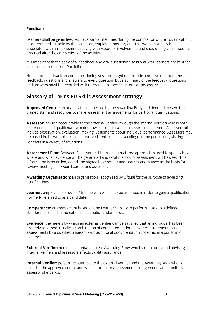### **Feedback**

Learners shall be given feedback at appropriate times during the completion of their qualification. as determined suitable by the Assessor, employer, mentor, etc. This would normally be associated with an assessment activity with Assessor involvement and should be given as soon as practical after the completion of the activity. practical after the completion of the activity.

It is important that a copy of all feedback and oral questioning sessions with Learners are kept for inclusion in the Learner Portfolio.

Notes from feedback and oral questioning sessions might not include a precise record of the feedback, questions and answers to every question, but a summary of the feedback, questions and answers must be recorded with reference to specific criteria as necessary. and answers must be recorded with reference to specific criteria as necessary.

# **Glossary of Terms EU Skills Assessment strategy**

**Approved Centre:** an organisation inspected by the Awarding Body and deemed to have the trained staff and resources to make assessment arrangements for particular qualifications. trained staff and resources to make assessment arrangements for particular  $\mathbf{r}$ 

Assessor: person accountable to the external verifier (through the internal verifier) who is both experienced and qualified/or working towards qualifications in assessing Learners. Assessor skills include observation, evaluation, making judgements about individual performance. Assessors may be based in the workplace, in an approved centre such as a college, or be peripatetic, visiting Learners in a variety of situations.  $\mathcal{L}$ 

**Assessment Plan:** Between Assessor and Learner a structured approach is used to specify how. where and when evidence will be generated and what method of assessment will be used. This information is recorded, dated and signed by assessor and Learner and is used as the basis for review meetings between Learner and assessor. review meetings between Learner and assessor.

**Awarding Organisation:** an organisation recognised by Ofqual for the purpose of awarding qualifications.

**Learner:** employee or student / trainee who wishes to be assessed in order to gain a qualification (formerly referred to as a candidate).  $\mathbf{f}$  referred to as a candidate).

**Competence:** an assessment based on the Learner's ability to perform a task to a defined standard specified in the national occupational standards. standard specified in the national occupational standards.

**Evidence:** the means by which an external verifier can be satisfied that an individual has been properly assessed, usually a combination of completed/endorsed witness statements, and assessments by a qualified assessor with additional documentation collected in a portfolio of  $a$ ssessments by a qualified assessment assessor with a portfolio of  $a$  portfolio of  $a$  portfolio of  $a$ evidence.

**External Verifier:** person accountable to the Awarding Body who by monitoring and advising internal verifiers and assessors effects quality assurance. internal verifiers and assessors effects quality assurance.

**Internal Verifier:** person accountable to the external verifier and the Awarding Body who is based in the approved centre and who co-ordinates assessment arrangements and monitors  $\overline{a}$ ssessor standards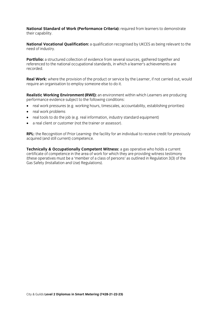National Standard of Work (Performance Criteria): required from learners to demonstrate their capability. their capability. The capability of the capability of the capability of the capability of the capability of the<br>The capability of the capability of the capability of the capability of the capability of the capability of th

**National Vocational Qualification:** a qualification recognised by UKCES as being relevant to the need of industry.

Portfolio: a structured collection of evidence from several sources, gathered together and referenced to the national occupational standards, in which a learner's achievements are  $recorded.$  occupational standards, in which a learner  $i$ 

**Real Work:** where the provision of the product or service by the Learner, if not carried out, would require an organisation to employ someone else to do it. require an organisation to employ someone else to do it.

**Realistic Working Environment (RWE):** an environment within which Learners are producing performance evidence subject to the following conditions:

- real work pressures (e.g. working hours, timescales, accountability, establishing priorities)<br>• real work preblems
- real work problems
- real tools to do the job (e.g. real information, industry standard equipment)
- a real client or customer (not the trainer or assessor).

**RPL:** the Recognition of Prior Learning- the facility for an individual to receive credit for previously acquired (and still current) competence. acquired (and still current) competence.

**Technically & Occupationally Competent Witness:** a gas operative who holds a current certificate of competence in the area of work for which they are providing witness testimony (these operatives must be a 'member of a class of persons' as outlined in Regulation  $3(3)$  of the Gas Safety (Installation and Use) Regulations). Gas Safety (Installation and Use) Regulations).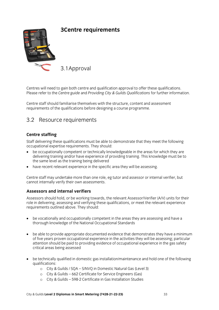

## **3Centre requirements 3Centre requirements**

3.1Approval

Centres will need to gain both centre and qualification approval to offer these qualifications.<br>Please refer to the Centre guide and Providing City & Guilds Qualifications for further information. Please refer to the *Centre guide* and *Providing City & Guilds Qualifications* for further information.

Centre staff should familiarise themselves with the structure, content and assessment requirements of the qualifications before designing a course programme. requirements of the qualifications before designing a course programme.

# 3.2 Resource requirements

**Centre staffing**<br>Staff delivering these qualifications must be able to demonstrate that they meet the following occupational expertise requirements. They should:

- be occupationally competent or technically knowledgeable in the areas for which they are<br>delivering training and/or have experience of providing training. This knowledge must be to delivering training and/or have experience of providing training. This knowledge must be to the same level as the training being delivered
- have recent relevant experience in the specific area they will be assessing.

Centre staff may undertake more than one role, eg tutor and assessor or internal verifier, but cannot internally verify the internal limits of the second terms of the second terms of the second terms of the second terms of the second terms of the second terms of the second terms of the second terms of the second ter

### **Assessors and internal verifiers**

Assessors should hold, or be working towards, the relevant Assessor/Verifier (A/V) units for their role in delivering, assessing and verifying these qualifications, or meet the relevant experience requirements outlined above. They should: requirements outlined above. They should:

- be vocationally and occupationally competent in the areas they are assessing and have a thorough knowledge of the National Occupational Standards
- be able to provide appropriate documented evidence that demonstrates they have a minimum of five years proven occupational experience in the activities they will be assessing; particular attention should be paid to providing evidence of occupational experience in the gas safety critical areas being assessed critical areas being assessed
- be technically qualified in domestic gas installation/maintenance and hold one of the following
	- o City & Guilds / SQA S/NVQ in Domestic Natural Gas (Level 3)
		- <sup>o</sup> City & Guilds 662 Certificate for Service Engineers (Gas)
		- <sup>o</sup> City & Guilds 598-2 Certificate in Gas Installation Studies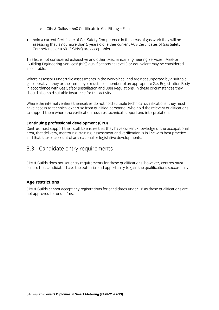- <sup>o</sup> City & Guilds 660 Certificate in Gas Fitting Final
- hold a current Certificate of Gas Safety Competence in the areas of gas work they will be assessing that is not more than 5 years old (either current ACS Certificates of Gas Safety Competence or a 6012 S/NVQ are acceptable). Competence or a 6012 S/NVQ are acceptable).

This list is not considered exhaustive and other 'Mechanical Engineering Services' (MES) or 'Building Engineering Services' (BES) qualifications at Level 3 or equivalent may be considered acceptable. acceptable.

Where assessors undertake assessments in the workplace, and are not supported by a suitable gas operative, they or their employer must be a member of an appropriate Gas Registration Body in accordance with Gas Safety (Installation and Use) Regulations. In these circumstances they should also hold suitable insurance for this activity. should also hold suitable insurance for this activity.

Where the internal verifiers themselves do not hold suitable technical qualifications, they must have access to technical expertise from qualified personnel, who hold the relevant qualifications, to support them where the verification requires technical support and interpretation. to support them where the verification requires technical support and interpretation.

### Continuing professional development (CPD)

Centres must support their staff to ensure that they have current knowledge of the occupational area, that delivery, mentoring, training, assessment and verification is in line with best practice and that it takes account of any national or legislative developments. and that it takes account of any national or legislative developments.

# $\mathcal{S}$  candidate entry requirements requirements

City & Guilds does not set entry requirements for these qualifications; however, centres must ensure that candidates have the potential and opportunity to gain the qualifications successfully. ensure that candidates have the potential and opportunity to gain the qualifications successfully.

Age restrictions<br>City & Guilds cannot accept any registrations for candidates under 16 as these qualifications are not approved for under 16s. not approved for under 16s.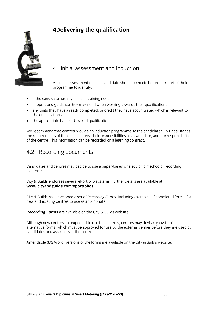## 4Delivering the qualification **4Delivering the qualification**



## 4.1Initial assessment and induction

An initial assessment of each candidate should be made before the start of their programme to identify:  $\overline{a}$ 

- if the candidate has any specific training needs
- support and guidance they may need when working towards their qualifications
- any units they have already completed, or credit they have accumulated which is relevant to
- the appropriate type and level of qualification.

We recommend that centres provide an induction programme so the candidate fully understands the requirements of the qualifications, their responsibilities as a candidate, and the responsibilities of the centre. This information can be recorded on a learning contract. of the centre. This information can be recorded on a learning contract.

# $\frac{1}{2}$

Candidates and centres may decide to use a paper-based or electronic method of recording

City & Guilds endorses several ePortfolio systems. Further details are available at:<br>www.cityandguilds.com/eportfolios. **www.cityandguilds.com/eportfolios**.

City & Guilds has developed a set of *Recording Forms,* including examples of completed forms, for new and existing centres to use as appropriate.

*Recording Forms* are available on the City & Guilds website.

Although new centres are expected to use these forms, centres may devise or customise<br>alternative forms, which must be approved for use by the external verifier before they are used by candidates and assessors at the centre. candidates and assessors at the centre.

Amendable (MS Word) versions of the forms are available on the City & Guilds website.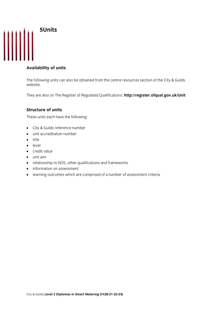

### **Availability of units**

 $\theta$  website.

They are also on The Register of Regulated Qualifications: **<http://register.ofqual.gov.uk/Unit>**

### **Structure of units**

These units each have the following:  $\mathbf{C}$ 

- City & Guilds reference number
- unit accreditation number
- title
- level
- credit value
- unit aim
- relationship to NOS, other qualifications and frameworks
- information on assessment
- learning outcomes which are comprised of a number of assessment criteria.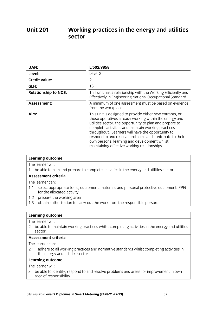## **Unit 201 Unit 201 Working products** in the energy and utilities  $\mathbf{S}$

| UAN:                        | L/502/9858                                                                                                                                                                                                                                                                                                                                                                                                                                           |
|-----------------------------|------------------------------------------------------------------------------------------------------------------------------------------------------------------------------------------------------------------------------------------------------------------------------------------------------------------------------------------------------------------------------------------------------------------------------------------------------|
| Level:                      | Level 2                                                                                                                                                                                                                                                                                                                                                                                                                                              |
| <b>Credit value:</b>        | 2                                                                                                                                                                                                                                                                                                                                                                                                                                                    |
| GLH:                        | 13                                                                                                                                                                                                                                                                                                                                                                                                                                                   |
| <b>Relationship to NOS:</b> | This unit has a relationship with the Working Efficiently and<br>Effectively in Engineering National Occupational Standard.                                                                                                                                                                                                                                                                                                                          |
| Assessment:                 | A minimum of one assessment must be based on evidence<br>from the workplace.                                                                                                                                                                                                                                                                                                                                                                         |
| Aim:                        | This unit is designed to provide either new entrants, or<br>those operatives already working within the energy and<br>utilities sector, the opportunity to plan and prepare to<br>complete activities and maintain working practices<br>throughout. Learners will have the opportunity to<br>respond to and resolve problems and contribute to their<br>own personal learning and development whilst<br>maintaining effective working relationships. |

|  | Learning outcome |  |
|--|------------------|--|
|  |                  |  |

The learner will:

1. be able to plan and prepare to complete activities in the energy and utilities sector.

## Assessment criteria

The learner can:

- 1.1 select appropriate tools, equipment, materials and personal protective equipment (PPE) for the allocated activity
- 1.2 prepare the working area
- 1.3 obtain authorisation to carry out the work from the responsible person. 1.3 obtain authorisation to carry out the work from the responsible person.

# **Learning outcome**<br>The learner will:

2. be able to maintain working practices whilst completing activities in the energy and utilities  $2. b$  because which working practices which practices which energy activities  $\frac{1}{2}$ sector.<br>Assessment criteria

The learner can:

2.1 adhere to all working practices and normative standards whilst completing activities in the energy and utilities sector.

## Learning outcome

The learner will:

3. be able to identify, respond to and resolve problems and areas for improvement in own  $\frac{1}{2}$  be able to identify, responsibility area of responsibility.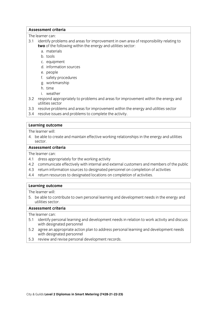## **Assessment criteria**

The learner can:

- 3.1 identify problems and areas for improvement in own area of responsibility relating to two of the following within the energy and utilities sector:
	- a materials
	- b. tools
	- c. equipment
	- d. information sources
	- e. people
	- f. safety procedures
	- g. workmanship
	- h time
	- i. weather
- 3.2 respond appropriately to problems and areas for improvement within the energy and utilities sector
- 3.3 resolve problems and areas for improvement within the energy and utilities sector
- 3.1 resolve issues and problems to complete the activity 3.4 resolve is substitution in the activity. The activity of the activity of the activity of the activity. The activity of the activity of the activity of the activity of the activity of the activity of the activity of the

# **Learning outcome**<br>The learner will:

4. be able to create and maintain effective working relationships in the energy and utilities  $\frac{1}{2}$ . bector

## Assessment criteria

The learner can:

- 4.1 dress appropriately for the working activity
- 4.2 communicate effectively with internal and external customers and members of the public
- 4.3 return information sources to designated personnel on completion of activities
- 4.3 return information sources to designated personnel on completion of activities  $\frac{4}{\sqrt{3}}$  return resources to designations on completions on completions on completion of activities.

# **Learning outcome**<br>The learner will:

5. be able to contribute to own personal learning and development needs in the energy and utilities sector.

## Assessment criteria

- 5.1 identify personal learning and development needs in relation to work activity and discuss with designated personnel
- 5.2 agree an appropriate action plan to address personal learning and development needs with designated personnel
- review and revise nersonal 5.3 review and revise personal development records.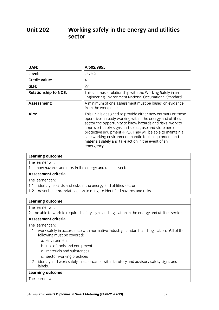## **Unit 202 U** Sector **U**

| UAN:                        | A/502/9855                                                                                                                                                                                                                                                                                                                                                                                                                                        |
|-----------------------------|---------------------------------------------------------------------------------------------------------------------------------------------------------------------------------------------------------------------------------------------------------------------------------------------------------------------------------------------------------------------------------------------------------------------------------------------------|
| Level:                      | Level 2                                                                                                                                                                                                                                                                                                                                                                                                                                           |
| <b>Credit value:</b>        | 4                                                                                                                                                                                                                                                                                                                                                                                                                                                 |
| GLH:                        | 27                                                                                                                                                                                                                                                                                                                                                                                                                                                |
| <b>Relationship to NOS:</b> | This unit has a relationship with the Working Safely in an<br>Engineering Environment National Occupational Standard.                                                                                                                                                                                                                                                                                                                             |
| Assessment:                 | A minimum of one assessment must be based on evidence<br>from the workplace.                                                                                                                                                                                                                                                                                                                                                                      |
| Aim:                        | This unit is designed to provide either new entrants or those<br>operatives already working within the energy and utilities<br>sector the opportunity to know hazards and risks, work to<br>approved safety signs and select, use and store personal<br>protective equipment (PPE). They will be able to maintain a<br>safe working environment, handle tools, equipment and<br>materials safely and take action in the event of an<br>emergency. |

# **Learning outcome**<br>The learner will:

1. know hazards and risks in the energy and utilities sector.

## Assessment criteria

The learner can:

- 1.1 identify hazards and risks in the energy and utilities sector
- 1.2 describe appropriate action to mitigate identified hazards and risks. 1.2 describe appropriate action to mitigate identified hazards and risks.

# **Learning outcome**<br>The learner will:

 $2$  he able to w  $\frac{1}{2}$  be a ble to to the energy signs and energy and utilities sector.

The learner can:

- 2.1 work safely in accordance with normative industry standards and legislation. All of the following must be covered:
	- a. environment
	- b. use of tools and equipment
	- c. materials and substances
	- d. sector working practices
- $\frac{1}{2}$  ontify and work cafely in acc 2.2 identify and work safely in accordance with statutory and advisory safety signs and labels.<br>Learning outcome

The learner will: <u>The learner</u>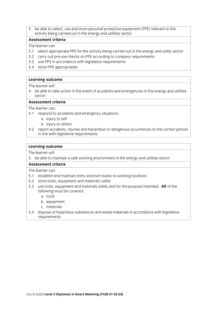3. be able to select, use and store personal protective equipment (PPE) relevant to the activity being carried out in the energy and utilities sector.

## Assessment criteria

The learner can:

- 3.1 select appropriate PPE for the activity being carried out in the energy and utility sector
- 3.2 carry out pre-use checks on PPE according to company requirements
- 3.3 use PPE in accordance with legislative requirements
- 3.4 store PPE appropriately. <u>3.4 store PPE appropriately.</u>

## **Learning outcome**

The learner will:

4. be able to take action in the event of accidents and emergencies in the energy and utilities  $\epsilon$  sector in the event of action in the energy and emergencies in the energy and utilities in the energy and utilities in the energy and utilities in the energy and utilities in the energy and utilities in the energy an

## Assessment criteria

The learner can:

- 4.1 respond to accidents and emergency situations:
	- a. injury to self
	- b. injury to others
- 4.2 report accidents, injuries and hazardous or dangerous occurrences to the correct person in line with legislative requirements. in line with legislative requirements.

# **Learning outcome**<br>The learner will:

5. be able to maintain a safe working environment in the energy and utilities sector.

### **Assessment criteria**

- 5.1 establish and maintain entry and exit routes to working locations
- 5.2 store tools, equipment and materials safely
- 5.3 use tools, equipment and materials safely and for the purpose intended. All of the following must be covered:
	- a. tools
	- b. equipment
	- c. materials
- 5.4 dispose of hazardous substances and waste materials in accordance with legislative requirements. <u>requirements.</u>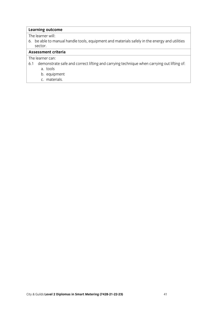$6$  he ahle to m  $\mathsf{sector}$  becomes able to manual handle tools, equipment and  $\mathsf{r}_i$  in the energy and utilities safely in the energy and utilities safely in the energy and utilities in the energy and utilities in the energy and utiliti sector.<br>Assessment criteria

- $61$  demonstre e. 1 demonstrate safe and correct lifting and correct life and carrying out life of the carrying of the carrying of<br>Second carrying of the carrying of the carrying of the carrying of the carrying of the carrying of the car
	-
	- a. tools
	- c. materials. c. materials. The contract of the contract of the contract of the contract of the contract of the contract of <br>The contract of the contract of the contract of the contract of the contract of the contract of the contract o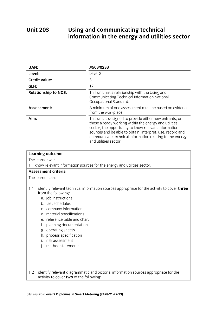## **Unit 203 Unitary Unitary Unitary Information in the energy and utilities information in the energy and utilities sector**

| UAN:                        | J/503/0233                                                                                                                                                                                                                                                                                                                 |
|-----------------------------|----------------------------------------------------------------------------------------------------------------------------------------------------------------------------------------------------------------------------------------------------------------------------------------------------------------------------|
| Level:                      | Level 2                                                                                                                                                                                                                                                                                                                    |
| <b>Credit value:</b>        | 3                                                                                                                                                                                                                                                                                                                          |
| GLH:                        | 17                                                                                                                                                                                                                                                                                                                         |
| <b>Relationship to NOS:</b> | This unit has a relationship with the Using and<br>Communicating Technical Information National<br>Occupational Standard.                                                                                                                                                                                                  |
| <b>Assessment:</b>          | A minimum of one assessment must be based on evidence<br>from the workplace.                                                                                                                                                                                                                                               |
| Aim:                        | This unit is designed to provide either new entrants, or<br>those already working within the energy and utilities<br>sector, the opportunity to know relevant information<br>sources and be able to obtain, interpret, use, record and<br>communicate technical information relating to the energy<br>and utilities sector |

| <b>Learning outcome</b>                                                                                                                                                                                                                                                                                                                                                                            |
|----------------------------------------------------------------------------------------------------------------------------------------------------------------------------------------------------------------------------------------------------------------------------------------------------------------------------------------------------------------------------------------------------|
| The learner will:                                                                                                                                                                                                                                                                                                                                                                                  |
| 1. know relevant information sources for the energy and utilities sector.                                                                                                                                                                                                                                                                                                                          |
| <b>Assessment criteria</b>                                                                                                                                                                                                                                                                                                                                                                         |
| The learner can:                                                                                                                                                                                                                                                                                                                                                                                   |
| 1.1<br>identify relevant technical information sources appropriate for the activity to cover <b>three</b><br>from the following:<br>a. job instructions<br>b. test schedules<br>c. company information<br>d. material specifications<br>e. reference table and chart<br>planning documentation<br>f.<br>g. operating sheets<br>h. process specification<br>i. risk assessment<br>method statements |
| identify relevant diagrammatic and pictorial information sources appropriate for the<br>1.2<br>activity to cover two of the following:                                                                                                                                                                                                                                                             |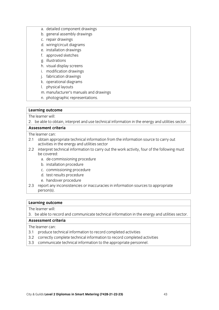- a. detailed component drawings<br>b. general assembly drawings
- 
- c. repair drawings
- d. wiring/circuit diagrams
- e. installation drawings
- f. approved sketches
- g. illustrations
- h. visual display screens
- i. modification drawings
- j. fabrication drawings
- k. operational diagrams
- l. physical layouts
- m. manufacturer's manuals and drawings
- n. photographic representations.  $\frac{1}{2}$  be representations.

n<br>2 he shle to ol  $\frac{1}{2}$ . because the entry distribution interpret and use technical information in the energy and utilities sector.

- The learner can:
- 2.1 obtain appropriate technical information from the information source to carry out activities in the energy and utilities sector
- 2.2 interpret technical information to carry out the work activity, four of the following must  $2.2$  interpret technical information to carry out the following must be following must be following must be following must be formation to the following must be following must be following must be following must be follo
	- a. de-commissioning procedure
	- b. installation procedure
	- c. commissioning procedure
	- d. test results procedure
	- e. handover procedure
- e.<br>mort any inconsistencies  $2.3$  reported inconsistencies or information sources to appropriate in information sources to appropriate in information sources to appropriate in information sources to appropriate in information sources to appropriate person(s).

# **Learning outcome**<br>The learner will:

 $\overline{\phantom{a}}$  he ship to re  $\frac{1}{3}$  be able to record and communicate technical information in the energy and utilities sector.

- 3.1 produce technical information to record completed activities
- 3.2 correctly complete technical information to record completed activities
- $\frac{1}{2}$  communicate technical information to the annonciate neccennel 3.3 communicate technical information to the appropriate personnel.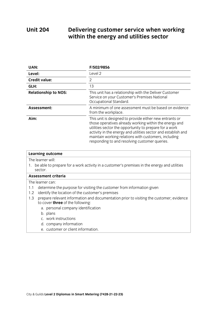## **Unit 204 EXAMPLE 204 DELIVER CONTROLLER WHEN WHEN WORKING CONTROLLER WITH A WORKING CONTROVERSED WAS** with the energy and utilities sectors sectors sectors sectors sectors sectors sectors sectors sectors in the energy sectors in the energy sectors in the energy sectors in the energy sectors in the energy sectors in the ene

| UAN:                        | F/502/9856                                                                                                                                                                                                                                                                                                                                            |
|-----------------------------|-------------------------------------------------------------------------------------------------------------------------------------------------------------------------------------------------------------------------------------------------------------------------------------------------------------------------------------------------------|
| Level:                      | Level 2                                                                                                                                                                                                                                                                                                                                               |
| <b>Credit value:</b>        | 2                                                                                                                                                                                                                                                                                                                                                     |
| GLH:                        | 13                                                                                                                                                                                                                                                                                                                                                    |
| <b>Relationship to NOS:</b> | This unit has a relationship with the Deliver Customer<br>Service on your Customer's Premises National<br>Occupational Standard.                                                                                                                                                                                                                      |
| Assessment:                 | A minimum of one assessment must be based on evidence<br>from the workplace.                                                                                                                                                                                                                                                                          |
| Aim:                        | This unit is designed to provide either new entrants or<br>those operatives already working within the energy and<br>utilities sector the opportunity to prepare for a work<br>activity in the energy and utilities sector and establish and<br>maintain working relations with customers, including<br>responding to and resolving customer queries. |

| Learning outcome                                                                                                                          |
|-------------------------------------------------------------------------------------------------------------------------------------------|
| The learner will:                                                                                                                         |
| 1. be able to prepare for a work activity in a customer's premises in the energy and utilities<br>sector.                                 |
| <b>Assessment criteria</b>                                                                                                                |
| The learner can:                                                                                                                          |
| determine the purpose for visiting the customer from information given<br>1.1                                                             |
| identify the location of the customer's premises<br>1.2                                                                                   |
| prepare relevant information and documentation prior to visiting the customer; evidence<br>1.3<br>to cover <b>three</b> of the following: |
| a. personal company identification                                                                                                        |
| b. plans                                                                                                                                  |
| c. work instructions                                                                                                                      |
| d. company information                                                                                                                    |
| e. customer or client information.                                                                                                        |
|                                                                                                                                           |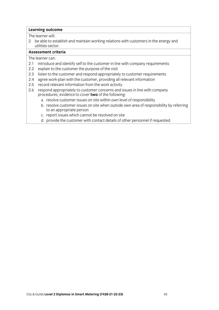2. be able to establish and maintain working relations with customers in the energy and utilities sector.

## Assessment criteria

- 2.1 introduce and identify self to the customer in line with company requirements
- 2.2 explain to the customer the purpose of the visit
- 2.3 listen to the customer and respond appropriately to customer requirements
- 2.4 agree work-plan with the customer, providing all relevant information
- 2.5 record relevant information from the work activity
- 2.6 respond appropriately to customer concerns and issues in line with company procedures; evidence to cover two of the following:
	- a. resolve customer issues on site within own level of responsibility
	- b. resolve customer issues on site when outside own area of responsibility by referring to an appropriate person
	- c. report issues which cannot be resolved on site
	- d. provide the customer with contact details of other personnel if requested. d. provide the customer with contact details of other personnel if requested. The customer personnel if request<br>If requested if requested if requested. The customer personnel is requested. The customer personnel is request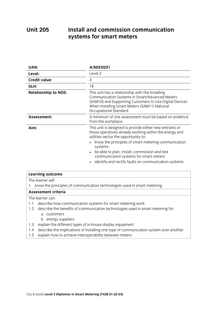## Install and commission communication **Unit 205 UNITE 205 INSTALL AND EXECUTE 20 INCREDIT 20 INCREDIT** 20 INCREDIT 20 INCREDIT 20 INCREDIT 20 INCREDIT 20 INCREDIT 20 INCREDIT 20 INCREDIT 20 INCREDIT 20 INCREDIT 20 INCREDIT 20 INCREDIT 20 INCREDIT 20 INCREDIT 20 INCRE **systems for smart meters**

| UAN:                        | A/503/0231                                                                                                                                                                                                                                                                                                                                                                      |
|-----------------------------|---------------------------------------------------------------------------------------------------------------------------------------------------------------------------------------------------------------------------------------------------------------------------------------------------------------------------------------------------------------------------------|
| Level:                      | Level 2                                                                                                                                                                                                                                                                                                                                                                         |
| <b>Credit value:</b>        | 4                                                                                                                                                                                                                                                                                                                                                                               |
| GLH:                        | 18                                                                                                                                                                                                                                                                                                                                                                              |
| <b>Relationship to NOS:</b> | This unit has a relationship with the Installing<br>Communication Systems in Smart/Advanced Meters<br>(SAM10) and Supporting Customers to Use Digital Devices<br>When Installing Smart Meters (SAM11) National<br>Occupational Standard.                                                                                                                                        |
| Assessment:                 | A minimum of one assessment must be based on evidence<br>from the workplace.                                                                                                                                                                                                                                                                                                    |
| Aim:                        | This unit is designed to provide either new entrants or<br>those operatives already working within the energy and<br>utilities sector the opportunity to:<br>know the principles of smart metering communication<br>systems<br>be able to plan, install, commission and test<br>communication systems for smart meters<br>identify and rectify faults on communication systems. |

# **Learning outcome**<br>The learner will: 1. know the principles of communication technologies used in smart metering. Assessment criteria The learner can:

- 1.1 describe how communication systems for smart metering work
- 1.2 describe the benefits of communication technologies used in smart metering for: a. customers
	- b. energy suppliers
- 1.3 explain the different types of in-house display equipment
- 1.4 describe the implications of installing one type of communication system over another
- 1.4 overland the implications of computer of computer of computer system of communication system over another system over another system over another system over another system over another system over another system over 1.5 explain how to achieve interoperability between meters.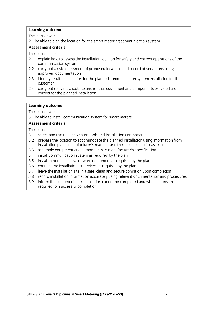2. be able to plan the location for the smart metering communication system.

## Assessment criteria

The learner can:

- 2.1 explain how to assess the installation location for safety and correct operations of the communication system
- 2.2 carry out a risk assessment of proposed locations and record observations using approved documentation
- 2.3 identify a suitable location for the planned communication system installation for the  $2.3$  identify a suitable location for the planned communication system installation system installation for the planned communication  $\frac{1}{2}$
- 2.4 carry out relevant checks to ensure that equipment and components provided are correct for the planned installation. correct for the planned installation of the planned installation. The planned installation of the planned installation. The planned installation of the planned installation of the planned installation of the planned instal

# **Learning outcome**<br>The learner will:

3. be able to install communication system for smart meters.

## Assessment criteria

- 3.1 select and use the designated tools and installation components
- 3.2 prepare the location to accommodate the planned installation using information from installation plans, manufacturer's manuals and the site specific risk assessment
- 3.3 assemble equipment and components to manufacturer's specification
- 3.4 install communication system as required by the plan
- 3.5 install in-home display/software equipment as required by the plan
- 3.6 connect the installation to services as required by the plan
- 3.7 leave the installation site in a safe, clean and secure condition upon completion
- 3.8 record installation information accurately using relevant documentation and procedures
- 3.9 inform the customer if the installation cannot be completed and what actions are required for successful completion. required for successive completion.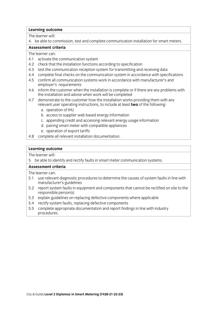4. be able to commission, test and complete communication installation for smart meters.  $\overline{\phantom{a}}$  become to complete complete complete complete complete complete complete complete complete complete complete complete complete complete complete complete complete complete complete complete complete complete c

The learner can:

- 4.1 activate the communication system
- 4.2 check that the installation functions according to specification
- 4.3 test the communication reception system for transmitting and receiving data
- 4.4 complete final checks on the communication system in accordance with specifications
- 4.5 confirm all communication systems work in accordance with manufacturer's and employer's requirements
- 4.6 inform the customer when the installation is complete or if there are any problems with the installation and advise when work will be completed
- 4.7 demonstrate to the customer how the installation works providing them with any relevant user operating instructions, to include at least two of the following:
	- a. operation of IHU
	- b. access to supplier web based energy information
	- c. appending credit and accessing relevant energy usage information
	- d. pairing smart meter with compatible appliances
	- e. operation of export tariffs
- 4.8 complete all relevant installation documentation. 4.8 complete all relevant installation documentation.

# **Learning outcome**<br>The learner will:

5. be able to identify and rectify faults in smart meter communication systems.  $\frac{1}{\sqrt{2}}$ . because to identify and rectification systems.

- 5.1 use relevant diagnostic procedures to determine the causes of system faults in line with manufacturer's guidelines
- 5.2 report system faults in equipment and components that cannot be rectified on site to the responsible person(s)
- 5.3 explain guidelines on replacing defective components where applicable
- 5.4 rectify system faults, replacing defective components
- 5.5 complete appropriate documentation and report findings in line with industry procedures. procedures.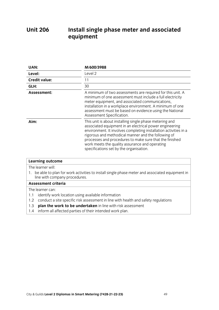## **Unit 206 Unit 206 Install single phase meter and associated by the phase meter and associated by the single phase meter and associated by the single phase meter and associated by the single phase meter and associated by the sing equipment**

| UAN:                 | M/600/3988                                                                                                                                                                                                                                                                                                                                                                                            |
|----------------------|-------------------------------------------------------------------------------------------------------------------------------------------------------------------------------------------------------------------------------------------------------------------------------------------------------------------------------------------------------------------------------------------------------|
| Level:               | Level 2                                                                                                                                                                                                                                                                                                                                                                                               |
| <b>Credit value:</b> | 11                                                                                                                                                                                                                                                                                                                                                                                                    |
| GLH:                 | 30                                                                                                                                                                                                                                                                                                                                                                                                    |
| Assessment:          | A minimum of two assessments are required for this unit. A<br>minimum of one assessment must include a full electricity<br>meter equipment, and associated communications,<br>installation in a workplace environment. A minimum of one<br>assessment must be based on evidence using the National<br>Assessment Specification.                                                                       |
| Aim:                 | This unit is about installing single phase metering and<br>associated equipment in an electrical power engineering<br>environment. It involves completing installation activities in a<br>rigorous and methodical manner and the following of<br>processes and procedures to make sure that the finished<br>work meets the quality assurance and operating<br>specifications set by the organisation. |

| <b>Learning outcome</b>                                                                                                           |
|-----------------------------------------------------------------------------------------------------------------------------------|
| The learner will:                                                                                                                 |
| 1. be able to plan for work activities to install single phase meter and associated equipment in<br>line with company procedures. |
| <b>Assessment criteria</b>                                                                                                        |
| The learner can:                                                                                                                  |
| identify work location using available information<br>1.1                                                                         |
| conduct a site specific risk assessment in line with health and safety regulations<br>1.2                                         |
| plan the work to be undertaken in line with risk assessment<br>1.3                                                                |

**1.**<br>1.4 inform all affocted parties of their intended work plan 1.4 information and affected parties of the intended work plan.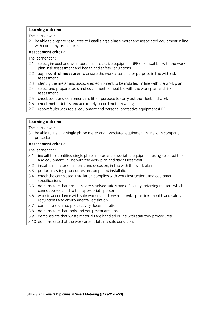2. be able to prepare resources to install single phase meter and associated equipment in line with company procedures.

## Assessment criteria

The learner can:

- 2.1 select, inspect and wear personal protective equipment (PPE) compatible with the work plan, risk assessment and health and safety regulations
- 2.2 apply control measures to ensure the work area is fit for purpose in line with risk assessment
- 2.3 identify the meter and associated equipment to be installed, in line with the work plan
- 2.4 select and prepare tools and equipment compatible with the work plan and risk assessment
- 2.5 check tools and equipment are fit for purpose to carry out the identified work
- 2.6 check meter details and accurately record meter readings
- 2.7 report faults with tools, equipment and personal protective equipment (PPE).  $2.7$  report faults with tools, equipment and personal protective equipment (PPE). The personal protective equipment (PPE).

# **Learning outcome**<br>The learner will:

3. be able to install a single phase meter and associated equipment in line with company procedures.

## Assessment criteria

- 3.1 **install** the identified single phase meter and associated equipment using selected tools and equipment, in line with the work plan and risk assessment
- 3.2 install an isolator on at least one occasion, in line with the work plan
- 3.3 perform testing procedures on completed installations
- 3.4 check the completed installation complies with work instructions and equipment specifications
- 3.5 demonstrate that problems are resolved safely and efficiently, referring matters which cannot be rectified to the appropriate person
- 3.6 work in accordance with safe working and environmental practices, health and safety regulations and environmental legislation
- 3.7 complete required post activity documentation
- 3.8 demonstrate that tools and equipment are stored
- 3.9 demonstrate that waste materials are handled in line with statutory procedures
- 3.10 demonstrate that the work area is left in a safe condition. 3.10 demonstrate that the work area is left in a safe condition.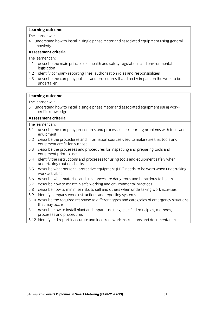4. understand how to install a single phase meter and associated equipment using general knowledge single phase meter and associated equipment using general phase meter and associated equipment using g<br>Install a single phase meter and associated equipment using general phase meter and associated equipment usin knowledge.<br>Assessment criteria

The learner can:

- 4.1 describe the main principles of health and safety regulations and environmental  $\frac{1}{2}$  describe the main principles of health and safety regulations and safety regulations and environmental environmental  $\frac{1}{2}$  denotes an operator  $\frac{1}{2}$  denotes and environmental environmental environmental
- legislation<br>4.2 identify company reporting lines, authorisation roles and responsibilities
- 4.3 describe the company policies and procedures that directly impact on the work to be undertaken. undertaken.<br>Undertaken.

# **Learning outcome**<br>The learner will:

5. understand how to install a single phase meter and associated equipment using workspecific knowledge.

## Assessment criteria

- ا<br>۲ میلیون در است.<br>۲ میلیون در است است و است و است از است که است که است که است که است که است که است که است که 5.1 describe the company procedures and processes for reporting problems with tools and equipment<br>5.2 describe the procedures and information sources used to make sure that tools and
- equipment are fit for purpose
- 5.3 describe the processes and procedures for inspecting and preparing tools and equipment prior to use
- 5.4 identify the instructions and processes for using tools and equipment safely when undertaking routine checks
- 5.5 describe what personal protective equipment (PPE) needs to be worn when undertaking work activities
- 5.6 describe what materials and substances are dangerous and hazardous to health
- 5.7 describe how to maintain safe working and environmental practices
- 5.8 describe how to minimise risks to self and others when undertaking work activities
- 5.9 identify company work instructions and reporting systems
- 5.10 describe the required response to different types and categories of emergency situations that may occur
- 5.11 describe how to install plant and apparatus using specified principles, methods, processes and procedures
- processes and processes 5.12 identify and report inaccurate and incorrect work instructions and documentation.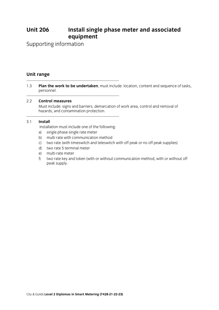# **Install single phase meter and associated equipment Unit 206**

**external**<br>mation Supporting information

**U**<br>-----------------------

 $-1.3$  Dlan the work to be undertaken: must inclus **nersonnel; entitled to be undertaken; must include the work to be undertaken and sequence of tasks, content an** personnel.

## 2.2 Control measures

Must include: signs and barriers, demarcation of work area, control and removal of hazards, and contamination protection.

hazards, and contamination protection.

## $-3.1$  Install

Install<br>Installation must include one of the following:

- a) single phase single rate meter
- b) multi rate with communication method
- c) two rate (with timeswitch and teleswitch with off peak or no off peak supplies)
- d) two rate 5 terminal meter
- e) multi-rate meter
- f) two rate key and token (with or without communication method, with or without off peak supply. peak supply.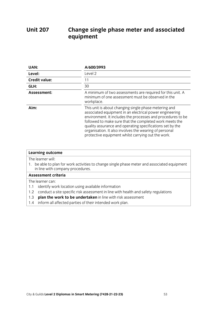## **Unit 207 Change single phase meter and associated Unit 207 equipment**

| UAN:                 | A/600/3993                                                                                                                                                                                                                                                                                                                                                                                                              |
|----------------------|-------------------------------------------------------------------------------------------------------------------------------------------------------------------------------------------------------------------------------------------------------------------------------------------------------------------------------------------------------------------------------------------------------------------------|
| Level:               | Level <sub>2</sub>                                                                                                                                                                                                                                                                                                                                                                                                      |
| <b>Credit value:</b> | 11                                                                                                                                                                                                                                                                                                                                                                                                                      |
| GLH:                 | 30                                                                                                                                                                                                                                                                                                                                                                                                                      |
| Assessment:          | A minimum of two assessments are required for this unit. A<br>minimum of one assessment must be observed in the<br>workplace.                                                                                                                                                                                                                                                                                           |
| Aim:                 | This unit is about changing single phase metering and<br>associated equipment in an electrical power engineering<br>environment. It includes the processes and procedures to be<br>followed to make sure that the completed work meets the<br>quality assurance and operating specifications set by the<br>organisation. It also involves the wearing of personal<br>protective equipment whilst carrying out the work. |

| <b>Learning outcome</b>                                                                                                             |
|-------------------------------------------------------------------------------------------------------------------------------------|
| The learner will:                                                                                                                   |
| be able to plan for work activities to change single phase meter and associated equipment<br>1.<br>in line with company procedures. |
| <b>Assessment criteria</b>                                                                                                          |
| The learner can:                                                                                                                    |
| identify work location using available information<br>1.1                                                                           |
| conduct a site specific risk assessment in line with health and safety regulations<br>1.2                                           |
| plan the work to be undertaken in line with risk assessment<br>1.3                                                                  |
| inform all affected parties of their intended work plan.<br>1.4                                                                     |
|                                                                                                                                     |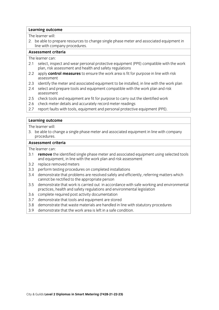2. be able to prepare resources to change single phase meter and associated equipment in line with company procedures.

## Assessment criteria

The learner can:

- 2.1 select, inspect and wear personal protective equipment (PPE) compatible with the work plan, risk assessment and health and safety regulations
- 2.2 apply control measures to ensure the work area is fit for purpose in line with risk assessment
- 2.3 identify the meter and associated equipment to be installed, in line with the work plan
- 2.4 select and prepare tools and equipment compatible with the work plan and risk assessment
- 2.5 check tools and equipment are fit for purpose to carry out the identified work
- 2.6 check meter details and accurately record meter readings
- 2.7 report faults with tools, equipment and personal protective equipment (PPE).  $2.7$  report faults with tools, equipment and personal protective equipment (PPE). The personal protective equipment (PPE).

# **Learning outcome**<br>The learner will:

3. be able to change a single phase meter and associated equipment in line with company procedures.

### Assessment criteria

- 3.1 remove the identified single phase meter and associated equipment using selected tools and equipment, in line with the work plan and risk assessment
- 3.2 replace removed meters
- 3.3 perform testing procedures on completed installations
- 3.4 demonstrate that problems are resolved safely and efficiently, referring matters which cannot be rectified to the appropriate person
- 3.5 demonstrate that work is carried out in accordance with safe working and environmental practices, health and safety regulations and environmental legislation
- 3.6 complete required post activity documentation
- 3.7 demonstrate that tools and equipment are stored
- 3.8 demonstrate that waste materials are handled in line with statutory procedures
- 3.9 demonstrate that the work area is left in a safe condition. 3.9 demonstrate that the work area is left in a safe condition.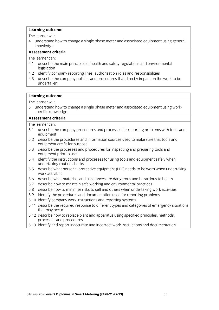4. understand how to change a single phase meter and associated equipment using general knowledge a single phase meter and associated equipment using general phase meter and associated equipment usin<br>In the single phase meter and associated equipment using general phase meter and associated equipment using ge knowledge.<br>Assessment criteria

The learner can:

- 4.1 describe the main principles of health and safety regulations and environmental  $\frac{1}{2}$  describe the main principles of health and safety regulations and safety regulations and environmental environmental  $\frac{1}{2}$  denotes and environmental environmental environmental environmental environmental en
- legislation<br>4.2 identify company reporting lines, authorisation roles and responsibilities
- 4.3 describe the company policies and procedures that directly impact on the work to be undertaken. undertaken.<br>Undertaken.

# **Learning outcome**<br>The learner will:

5. understand how to change a single phase meter and associated equipment using workspecific knowledge.

## Assessment criteria

- ا<br>۲ میلیون در است.<br>۲ میلیون در است است و است و است از است که است که است که است که است که است که است که است که 5.1 describe the company procedures and processes for reporting problems with tools and equipment<br>5.2 describe the procedures and information sources used to make sure that tools and
- equipment are fit for purpose
- 5.3 describe the processes and procedures for inspecting and preparing tools and equipment prior to use
- 5.4 identify the instructions and processes for using tools and equipment safely when undertaking routine checks
- 5.5 describe what personal protective equipment (PPE) needs to be worn when undertaking work activities
- 5.6 describe what materials and substances are dangerous and hazardous to health
- 5.7 describe how to maintain safe working and environmental practices
- 5.8 describe how to minimise risks to self and others when undertaking work activities
- 5.9 identify the procedures and documentation used for reporting problems
- 5.10 identify company work instructions and reporting systems
- 5.11 describe the required response to different types and categories of emergency situations that may occur
- 5.12 describe how to replace plant and apparatus using specified principles, methods, processes and procedures
- 5.13 identify and report inaccurate and incorrect work instructions and documentation. 5.13 identify and report inaccurate and incorrect work instructions and documentation.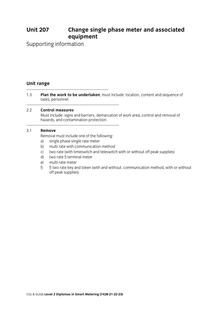# **Change single phase meter and associated equipment Unit 207**

**external**<br>mation Supporting information

**U**<br>-----------------------

1.3 Plan the work to be undertaken; must include: location, content and sequence of tasks, personnel.

tasks, personnel.

## 2.2 Control measures

Must include: signs and barriers, demarcation of work area, control and removal of hazards, and contamination protection.

hazards, and contamination protection.

## 3.1 **Remove**

Removal must include one of the following:

- a) single phase single rate meter
- b) multi rate with communication method
- c) two rate (with timeswitch and teleswitch with or without off peak supplies)
- d) two rate 5 terminal meter
- e) multi-rate meter
- $f$   $\theta$  two rate key and token (with and without communication method, with or without f) f) two rate key and token (with and without communication method, with or without off peak supplies (see peak supplies).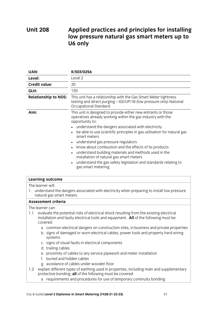## **Unit 208 Unit 208 Little property in the set of the property of the property of the property of the property of the property of the property of the property of the property of the property of the property of the property of the low pressure natural gas smart meters up to U6 only**

| UAN:                        | K/503/0256                                                                                                                                                                                                                                                                                                                                                                                                                                                                                                                                                                                                                                         |  |
|-----------------------------|----------------------------------------------------------------------------------------------------------------------------------------------------------------------------------------------------------------------------------------------------------------------------------------------------------------------------------------------------------------------------------------------------------------------------------------------------------------------------------------------------------------------------------------------------------------------------------------------------------------------------------------------------|--|
| Level:                      | Level 2                                                                                                                                                                                                                                                                                                                                                                                                                                                                                                                                                                                                                                            |  |
| <b>Credit value:</b>        | 20                                                                                                                                                                                                                                                                                                                                                                                                                                                                                                                                                                                                                                                 |  |
| GLH:                        | 150                                                                                                                                                                                                                                                                                                                                                                                                                                                                                                                                                                                                                                                |  |
| <b>Relationship to NOS:</b> | This unit has a relationship with the Gas Smart Meter tightness<br>testing and direct purging - IGE/UP/1B (low pressure only) National<br>Occupational Standard.                                                                                                                                                                                                                                                                                                                                                                                                                                                                                   |  |
| Aim:                        | This unit is designed to provide either new entrants or those<br>operatives already working within the gas industry with the<br>opportunity to:<br>understand the dangers associated with electricity<br>be able to use scientific principles in gas utilisation for natural gas<br>smart meters<br>understand gas pressure regulators<br>$\bullet$<br>know about combustion and the effects of its products<br>$\bullet$<br>understand building materials and methods used in the<br>$\bullet$<br>installation of natural gas smart meters<br>understand the gas safety legislation and standards relating to<br>$\bullet$<br>gas smart metering. |  |

| <b>Learning outcome</b>                                                                                                                                                                            |
|----------------------------------------------------------------------------------------------------------------------------------------------------------------------------------------------------|
| The learner will:                                                                                                                                                                                  |
| 1. understand the dangers associated with electricity when preparing to install low pressure<br>natural gas smart meters.                                                                          |
| <b>Assessment criteria</b>                                                                                                                                                                         |
| The learner can:                                                                                                                                                                                   |
| evaluate the potential risks of electrical shock resulting from the existing electrical<br>1.1<br>installation and faulty electrical tools and equipment. All of the following must be<br>covered: |
| a. common electrical dangers on construction sites, in business and private properties<br>b. signs of damaged or worn electrical cables, power tools and property hard wiring<br>systems           |
| c. signs of visual faults in electrical components                                                                                                                                                 |
| d. trailing cables                                                                                                                                                                                 |
| e. proximity of cables to any service pipework and meter installation                                                                                                                              |
| f. buried and hidden cables                                                                                                                                                                        |
| g. avoidance of cables under wooden floor                                                                                                                                                          |
| explain different types of earthing used in properties, including main and supplementary<br>1.2<br>protective bonding; all of the following must be covered:                                       |

protective bonding; **but be conditioned:**  $\frac{1}{\sqrt{2}}$  requirements and procedures for use of temporary continuity bonding bonding bonding bonding bonding bonding bonding bonding bonding bonding bonding bonding bonding bonding bonding bonding bonding bonding bond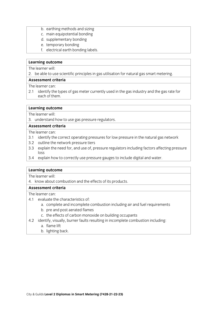- b. earthing methods and sizing<br>c. main equipotential bonding
	-
	- d. supplementary bonding
	- e. temporary bonding
- f. electrical earth bonding labels. f. electrical earthquarth bonding labels.

2. be able to use scientific principles in gas utilisation for natural gas smart metering.  $\frac{1}{2}$  because to use to use scientific principles in gas utilisation for natural gas smart metering.

The learner can:

2.1 identify the types of gas meter currently used in the gas industry and the gas rate for each of them. each of the main second control of the main second control of the main second control of the main second control of the main second control of the main second control of the main second control of the main second control o

# **Learning outcome**<br>The learner will:

3. understand how to use gas pressure regulators.

## Assessment criteria

The learner can:

- 3.1 identify the correct operating pressures for low pressure in the natural gas network
- 3.2 outline the network pressure tiers
- 3.3 explain the need for, and use of, pressure regulators including factors affecting pressure  $\frac{1}{3}$ .3 explains the need for  $\frac{1}{3}$  explained pressure regulators including pressure regulators affecting pressure regulators in  $\frac{1}{3}$  explains affecting pressure regulators in  $\frac{1}{3}$  explains affecting pro
- los<br>Avn  $\frac{3}{4}$  explain how to correctly use pressure gauges to include diagonal and water.

# **Learning outcome**<br>The learner will:

4. know about combustion and the effects of its products.

## Assessment criteria

- 4.1 evaluate the characteristics of:
	- a. complete and incomplete combustion including air and fuel requirements
	- b. pre and post aerated flames
	- c. the effects of carbon monoxide on building occupants
- continuation components of carbon monography  $\frac{1}{2}$  is uncomplete complete complete complete complete complete complete complete complete complete complete complete complete complete complete complete complete complete complete complete complete complete complete
	-
	- $h$  lighting  $h$  $\frac{1}{\sqrt{2}}$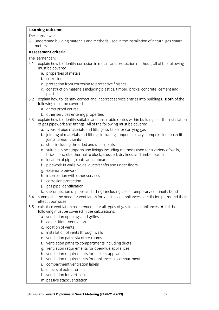5. understand building materials and methods used in the installation of natural gas smart es. understand building materials and methods used in the installation of natural gas smart gas smart gas smart gas smart gas smart gas smart gas smart gas smart gas smart gas smart gas smart gas smart gas smart gas smart

## Assessment criteria

- 5.1 explain how to identify corrosion in metals and protection methods; all of the following must be covered:
	- a. properties of metals
	- b. corrosion
	- c. protection from corrosion to protective finishes
	- d. construction materials including plastics, timber, bricks, concrete, cement and d. construction materials including plaster including plaster including plaster including plaster in the concrete of  $\alpha$
- plaster<br>5.2 explain how to identify correct and incorrect service entries into buildings. **Both** of the following must be covered:
	- a. damp proof course
	- b. other services entering properties
- 5.3 explain how to identify suitable and unsuitable routes within buildings for the installation of gas pipework and fittings. All of the following must be covered:
	- a. types of pipe materials and fittings suitable for carrying gas
	- b. jointing of materials and fittings including copper capillary, compression, push-fit joints, press fit joints
	- c. steel including threaded and union joints
	- d. suitable pipe supports and fixings including methods used for a variety of walls, brick, concrete, thermalite block, studded, dry lined and timber frame
	- e. location of pipes, route and appearance
	- f. pipework in walls, voids, ducts/shafts and under floors
	- g. exterior pipework
	- h. interrelation with other services
	- i. corrosion protection
	- j. gas pipe identification
	- k. disconnection of pipes and fittings including use of temporary continuity bond
- 5.4 summarise the need for ventilation for gas fuelled appliances, ventilation paths and their effect upon sizes
- 5.5 calculate ventilation requirements for all types of gas-fuelled appliances. All of the following must be covered in the calculations:
	- a. ventilation openings and grilles
	- b. adventitious ventilation
	- c. location of vents
	- d. installation of vents through walls
	- e. ventilation paths via other rooms
	- f. ventilation paths to compartments including ducts
	- g. ventilation requirements for open-flue appliances
	- h. ventilation requirements for flueless appliances
	- i. ventilation requirements for appliances in compartments
	- j. compartment ventilation labels
	- k. effects of extractor fans
	- l. ventilation for vertex flues
	- m. passive stack ventilation m. passive stack ventilation stack ventilation of the stack ventilation of the stack ventilation of the stack ventilation of the stack ventilation of the stack ventilation of the stack ventilation of the stack ventilation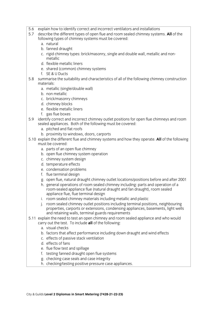- 5.6 explain how to identify correct and incorrect ventilators and installations
- 5.7 describe the different types of open flue and room sealed chimney systems. All of the following types of chimney systems must be covered:
	- a natural
	- b. fanned draught
	- c. rigid chimney types: brick/masonry, single and double wall, metallic and noncorrigio chimney types: britannic wall, metallic wall, metallic wall, metallic and non-
	- d. flexible metallic liners
	- e. shared (common) chimney systems
	- f.  $SE & U$  Ducts
- 5.8 summarise the suitability and characteristics of all of the following chimney construction materials: and characteristics of all of the following characteristics of all of the following chimney construction of the following chimney construction of the following chimney construction of the following chimney const
	- a. metallic (single/double wall)
	- b. non metallic
	- c. brick/masonry chimneys
	- d. chimney blocks
	- e. flexible metallic liners
	- f. gas flue boxes
- 5.9 identify correct and incorrect chimney outlet positions for open flue chimneys and room sealed appliances. Both of the following must be covered:
	- a. pitched and flat roofs
	- b. proximity to windows, doors, carports
- 5.10 explain the different flue and chimney systems and how they operate. All of the following must be covered:
	- a. parts of an open flue chimney
	- b. open flue chimney system operation
	- c. chimney system design
	- d. temperature effects
	- e. condensation problems
	- f. flue terminal design
	- g. open flue, natural draught chimney outlet locations/positions before and after 2001
	- h. general operations of room sealed chimney including: parts and operation of a room-sealed appliance flue (natural draught and fan draught), room sealed appliance flue, flue terminal design
	- i. room sealed chimney materials including metallic and plastic
	- j. room sealed chimney outlet positions including terminal positions, neighbouring properties, carports or extensions, condensing appliances, basements, light wells and retaining walls, terminal guards requirements
- 5.11 explain the need to test an open chimney and room sealed appliance and who would carry out the test. To include all of the following:
	- a. visual checks.
	- b. factors that affect performance including down draught and wind effects
	- c. effects of passive stack ventilation
	- d. effects of fans
	- e. flue flow test and spillage
	- f. testing fanned draught open flue systems
	- g. checking case seals and case integrity
	- h. checking/testing positive pressure case appliances. h. checking/testing positive pressure case appliances.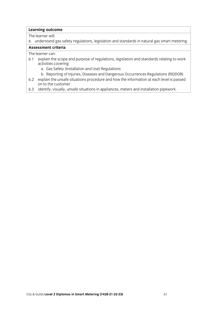6. understand gas safety regulations, legislation and standards in natural gas smart metering.

## Assessment criteria

- 6.1 explain the scope and purpose of regulations, legislation and standards relating to work activities covering:
	- a. Gas Safety (Installation and Use) Regulations
	- b. Reporting of Injuries, Diseases and Dangerous Occurrences Regulations (RIDDOR)
- 6.2 explain the unsafe situations procedure and how the information at each level is passed on to the customer
- 6.3 identify, visually, unsafe situations in appliances, meters and installation pipework.  $\frac{1}{2}$  identify, unsafe situations in applications in applications in application pipework.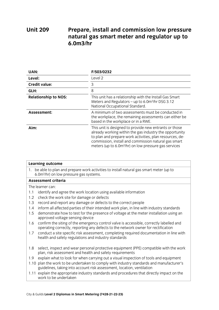## **Unit 209 Prepared Arizon** in a prepare, included and commission in the prepared of the prepare  $\frac{1}{2}$  and  $\frac{1}{2}$  are presented and  $\frac{1}{2}$  and  $\frac{1}{2}$  are presented and  $\frac{1}{2}$  are presented and  $\frac{1}{2}$  are presented **n**<br>**n**  $\frac{1}{2}$  **n**  $\frac{1}{2}$  **n**  $\frac{1}{2}$  **n**  $\frac{1}{2}$  **n**  $\frac{1}{2}$  **n**  $\frac{1}{2}$  **n**  $\frac{1}{2}$  **n**  $\frac{1}{2}$  **n**  $\frac{1}{2}$  **n**  $\frac{1}{2}$  **n**  $\frac{1}{2}$  **n**  $\frac{1}{2}$  **n**  $\frac{1}{2}$  **n**  $\frac{1}{2}$  **n**  $\frac{1}{2}$  **n**  $\frac{$

| UAN:                        | F/503/0232                                                                                                                                                                                                                                                                                                 |
|-----------------------------|------------------------------------------------------------------------------------------------------------------------------------------------------------------------------------------------------------------------------------------------------------------------------------------------------------|
| Level:                      | Level 2                                                                                                                                                                                                                                                                                                    |
| <b>Credit value:</b>        | 3                                                                                                                                                                                                                                                                                                          |
| GLH:                        | 8                                                                                                                                                                                                                                                                                                          |
| <b>Relationship to NOS:</b> | This unit has a relationship with the Install Gas Smart<br>Meters and Regulators - up to 6.0m <sup>3</sup> /hr DSG 3.12<br>National Occupational Standard.                                                                                                                                                 |
| Assessment:                 | A minimum of two assessments must be conducted in<br>the workplace, the remaining assessments can either be<br>based in the workplace or in a RWE.                                                                                                                                                         |
| Aim:                        | This unit is designed to provide new entrants or those<br>already working within the gas industry the opportunity<br>to plan and prepare work activities, plan resources, de-<br>commission, install and commission natural gas smart<br>meters (up to 6.0m <sup>3</sup> /hr) on low pressure gas services |

| <b>Learning outcome</b>                                                                                                                         |                                                                                                                                                                              |  |
|-------------------------------------------------------------------------------------------------------------------------------------------------|------------------------------------------------------------------------------------------------------------------------------------------------------------------------------|--|
| 1. be able to plan and prepare work activities to install natural gas smart meter (up to<br>6.0m <sup>3</sup> /hr) on low pressure gas systems. |                                                                                                                                                                              |  |
|                                                                                                                                                 | Assessment criteria                                                                                                                                                          |  |
| The learner can:                                                                                                                                |                                                                                                                                                                              |  |
| 1.1                                                                                                                                             | identify and agree the work location using available information                                                                                                             |  |
| 1.2                                                                                                                                             | check the work site for damage or defects                                                                                                                                    |  |
| 1.3                                                                                                                                             | record and report any damage or defects to the correct people                                                                                                                |  |
| 1.4                                                                                                                                             | inform all affected parties of their intended work plan, in line with industry standards                                                                                     |  |
| 1.5                                                                                                                                             | demonstrate how to test for the presence of voltage at the meter installation using an<br>approved voltage sensing device                                                    |  |
| 1.6                                                                                                                                             | confirm the siting of the emergency control valve is accessible, correctly labelled and<br>operating correctly, reporting any defects to the network owner for rectification |  |
| 1.7                                                                                                                                             | conduct a site specific risk assessment, completing required documentation in line with<br>health and safety regulations and industry standards                              |  |
| 1.8                                                                                                                                             | select, inspect and wear personal protective equipment (PPE) compatible with the work<br>plan, risk assessment and health and safety requirements                            |  |
| 1.9                                                                                                                                             | explain what to look for when carrying out a visual inspection of tools and equipment                                                                                        |  |
|                                                                                                                                                 | 1.10 plan the work to be undertaken to comply with industry standards and manufacturer's<br>guidelines, taking into account risk assessment, location, ventilation           |  |
|                                                                                                                                                 | 1.11 explain the appropriate industry standards and procedures that directly impact on the<br>work to be undertaken                                                          |  |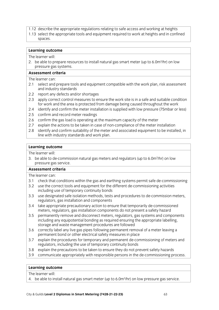- 1.12 describe the appropriate regulations relating to safe access and working at heights
- 1.13 select the appropriate tools and equipment required to work at heights and in confined  $1.3$  spaces. The appropriate tools and equipment required to work at heights and in confined to work at heights and in confined to work at heights and in confined to work at heights and in confined to work at heights and  $\frac{1}{\sqrt{2}}$

2 he ahle to ni 2. be able to prepare resources to install natural gas smart meter (up to 6.0m)<br>pressure gas systems. /hr) on low

## Assessment criteria

The learner can:

- 2.1 select and prepare tools and equipment compatible with the work plan, risk assessment and industry standards
- 2.2 report any defects and/or shortages
- 2.3 apply correct control measures to ensure the work site is in a safe and suitable condition for work and the area is protected from damage being caused throughout the work
- 2.4 identify and confirm the meter installation is supplied with low pressure (75mbar or less)
- 2.5 confirm and record meter readings
- 2.6 confirm the gas load is operating at the maximum capacity of the meter
- 2.7 explain the actions to be taken in case of non-compliance of the meter installation
- 2.8 identify and confirm suitability of the meter and associated equipment to be installed, in line with industry standards and work plan. line with industry standards and work plan. The standards and work plan of the standards and work plan.

# **Learning outcome**<br>The learner will:

2 homelotode 3. be able to de-commission natural gas meters and regulators (up to 6.0m<sup>3</sup> /hr) on low pressure gas service.<br>Assessment criteria

The learner can:

- 3.1 check that conditions within the gas and earthing systems permit safe de-commissioning
- 3.2 use the correct tools and equipment for the different de-commissioning activities including use of temporary continuity bonds
- 3.3 use designated safe isolation methods, tests and procedures to de-commission meters, regulators, gas installation and components
- 3.4 take appropriate precautionary action to ensure that temporarily de-commissioned meters, regulators, gas installation components do not present a safety hazard
- 3.5 permanently remove and disconnect meters, regulators, gas systems and components including any equipotential bonding as required ensuring the appropriate labelling, storage and waste management procedures are followed
- 3.6 correctly label any live gas pipes following permanent removal of a meter leaving a permanent bond or other electrical safety measures in place
- $3.7$ explain the procedures for temporary and permanent de-commissioning of meters and regulators, including the use of temporary continuity bonds
- 3.8 explain the precautions to be taken to ensure they do not prevent safety hazards
- 3.9 communicate appropriately with responsible persons in the de-commissioning process. 3.9 communicate appropriately with responsible persons in the de-commissioning process.

# **Learning outcome**<br>The learner will:

 $\overline{1}$  he able to in 4. be able to install natural gas smart meter (up to 6.0m<sup>3</sup> /hr) on low pressure gas service.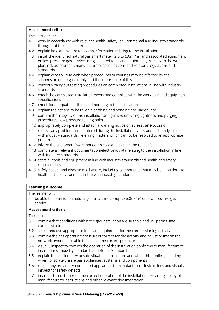## **Assessment criteria**

The learner can:

- 4.1 work in accordance with relevant health, safety, environmental and industry standards throughout the installation
- 4.2 explain how and where to access information relating to the installation
- 4.3 install the identified natural gas smart meter (2.5 to 6.0m<sup>3</sup>/hr) and associated equipment 4.3 Install the identified natural gas smart meter (2.5 to 6.0m3 mi) and associated equipment<br>on low pressure gas service using selected tools and equipment, in line with the work plan, risk assessment, manufacturer's specifications and relevant regulations and standards
- 4.4 explain who to liaise with when procedures or routines may be affected by the suspension of the gas supply and the importance of this
- 4.5 correctly carry out testing procedures on completed installations in line with industry  $4.5$  corrections on complete installations in line with installations in line with industry  $\sim$
- 4.6 check the completed installation meets and complies with the work plan and equipment specifications
- 4.7 check for adequate earthing and bonding to the installation
- 4.8 explain the actions to be taken if earthing and bonding are inadequate
- 4.9 confirm the integrity of the installation and gas system using tightness and purging procedures (low pressure testing only)
- 4.10 appropriately complete and attach a warning notice on at least one occasion
- 4.11 resolve any problems encountered during the installation safely and efficiently in line with industry standards, referring matters which cannot be resolved to an appropriate  $m$ ersondards, referring matters which cannot be resolved to an appropriate to an appropriate to an appropriate to an appropriate to an appropriate to an appropriate to an appropriate to an appropriate to an appropriate t
- 4.12 inform the customer if work not completed and explain the reason(s)
- 4.13 complete all relevant documentation/electronic data relating to the installation in line with industry standards
- 4.14 store all tools and equipment in line with industry standards and health and safety requirements
- 4.15 safely collect and dispose of all waste, including components that may be hazardous to health or the environment in line with industry standards. health or the environment industry standards. The environment industry standards. The environment industry standards.

# **Learning outcome**<br>The learner will:

 $\overline{5}$  he shieto co 5. be able to commission natural gas smart meter (up to 6.0m<sup>3</sup> /hr) on low pressure gas

## Assessment criteria

- 5.1 confirm that conditions within the gas installation are suitable and will permit safe commissioning
- 5.2 select and use appropriate tools and equipment for the commissioning activity
- 5.3 confirm the gas operating pressure is correct for the activity and adjust or inform the network owner if not able to achieve the correct pressure
- 5.4 visually inspect to confirm the operation of the installation conforms to manufacturer's instructions, industry standards and British Standards
- 5.5 explain the gas industry unsafe situations procedure and when this applies, including when to isolate unsafe gas appliances, systems and components
- 5.6 relight any previously connected appliances to manufacturer's instructions and visually inspect for safety defects
- instruct the customer on the correct operation of the installation, providing a copy of 5.7 instruct the customer on the correct operation of the installation<br>manufacturer's instructions and other relevant documentation. manufacturer's instructions and other relevant documentation.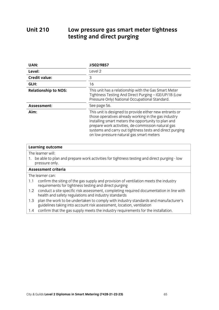## **Unit 210 Unit 210 Low pressure gas small metallicity in the small metallicity of the small metallicity of the small metallicity of the small metallicity of the small metallicity of the small metallicity of the small metallicity testing and direct purging**

| UAN:                                                                                                                                                   | J/502/9857                                                                                                                                                                                                                                                                                                                           |  |
|--------------------------------------------------------------------------------------------------------------------------------------------------------|--------------------------------------------------------------------------------------------------------------------------------------------------------------------------------------------------------------------------------------------------------------------------------------------------------------------------------------|--|
| Level:                                                                                                                                                 | Level 2                                                                                                                                                                                                                                                                                                                              |  |
| <b>Credit value:</b>                                                                                                                                   | 3                                                                                                                                                                                                                                                                                                                                    |  |
| GLH:                                                                                                                                                   | 16                                                                                                                                                                                                                                                                                                                                   |  |
| <b>Relationship to NOS:</b>                                                                                                                            | This unit has a relationship with the Gas Smart Meter<br>Tightness Testing And Direct Purging - IGE/UP/1B (Low<br>Pressure Only) National Occupational Standard.                                                                                                                                                                     |  |
| Assessment:                                                                                                                                            | See page 56.                                                                                                                                                                                                                                                                                                                         |  |
| Aim:                                                                                                                                                   | This unit is designed to provide either new entrants or<br>those operatives already working in the gas industry<br>installing smart meters the opportunity to plan and<br>prepare work activities, de-commission natural gas<br>systems and carry out tightness tests and direct purging<br>on low pressure natural gas smart meters |  |
| <b>Learning outcome</b>                                                                                                                                |                                                                                                                                                                                                                                                                                                                                      |  |
| The learner will:                                                                                                                                      |                                                                                                                                                                                                                                                                                                                                      |  |
| 1. be able to plan and prepare work activities for tightness testing and direct purging - low<br>pressure only.                                        |                                                                                                                                                                                                                                                                                                                                      |  |
| <b>Assessment criteria</b>                                                                                                                             |                                                                                                                                                                                                                                                                                                                                      |  |
| The learner can:                                                                                                                                       |                                                                                                                                                                                                                                                                                                                                      |  |
| confirm the siting of the gas supply and provision of ventilation meets the industry<br>1.1<br>requirements for tightness testing and direct purging   |                                                                                                                                                                                                                                                                                                                                      |  |
| conduct a site specific risk assessment, completing required documentation in line with<br>1.2<br>health and safety regulations and industry standards |                                                                                                                                                                                                                                                                                                                                      |  |

1.3 plan the work to be undertaken to comply with industry standards and manufacturer's quidelines taking into account risk assessment, location, ventilation

 $\frac{1}{2}$  continuous taking into account  $\frac{1}{2}$  and  $\frac{1}{2}$  assessment for the continuous for the continuous for the continuous set of the continuous set of the continuous set of the continuous set of the continuous  $\frac{1}{\sqrt{1+\frac{1}{\sqrt{1+\frac{1}{\sqrt{1+\frac{1}{\sqrt{1+\frac{1}{\sqrt{1+\frac{1}{\sqrt{1+\frac{1}{\sqrt{1+\frac{1}{\sqrt{1+\frac{1}{\sqrt{1+\frac{1}{\sqrt{1+\frac{1}{\sqrt{1+\frac{1}{\sqrt{1+\frac{1}{\sqrt{1+\frac{1}{\sqrt{1+\frac{1}{\sqrt{1+\frac{1}{\sqrt{1+\frac{1}{\sqrt{1+\frac{1}{\sqrt{1+\frac{1}{\sqrt{1+\frac{1}{\sqrt{1+\frac{1}{\sqrt{1+\frac{1}{\sqrt{1+\frac{1}{\sqrt{1+\frac{1}{\sqrt{1+\frac{1$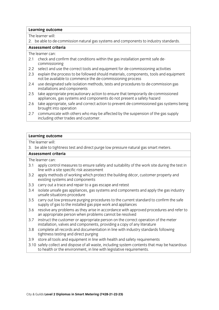2. be able to de-commission natural gas systems and components to industry standards.

## Assessment criteria

The learner can:

- 2.1 check and confirm that conditions within the gas installation permit safe decommissioning
- 2.2 select and use the correct tools and equipment for de-commissioning activities
- 2.3 explain the process to be followed should materials, components, tools and equipment not be available to commence the de-commissioning process
- 2.4 use designated safe isolation methods, tests and procedures to de-commission gas installations and components
- 2.5 take appropriate precautionary action to ensure that temporarily de-commissioned appliances, gas systems and components do not present a safety hazard
- 2.6 take appropriate, safe and correct action to prevent de-commissioned gas systems being brought into operation
- 2.7 communicate with others who may be affected by the suspension of the gas supply including other trades and customer. including other trades and customers and customers and customers and customers and customers.

## **Learning outcome**

The learner will:

3. be able to tightness test and direct purge low pressure natural gas smart meters.  $\frac{3}{\sqrt{2}}$  be able to time test and direct pure natural gas small gas small gas small meters.

- 3.1 apply control measures to ensure safety and suitability of the work site during the test in line with a site specific risk assessment
- 3.2 apply methods of working which protect the building décor, customer property and existing systems and components
- 3.3 carry out a trace and repair to a gas escape and retest
- 3.4 isolate unsafe gas appliances, gas systems and components and apply the gas industry unsafe situations procedure
- 3.5 carry out low pressure purging procedures to the current standard to confirm the safe supply of gas to the installed gas pipe work and appliances
- 3.6 resolve any problems as they arise in accordance with approved procedures and refer to an appropriate person when problems cannot be resolved
- 3.7 instruct the customer or appropriate person on the correct operation of the meter installation, valves and components, providing a copy of any literature
- 3.8 complete all records and documentation in line with industry standards following tightness testing and direct purging
- 3.9 store all tools and equipment in line with health and safety requirements
- 3.10 safely collect and dispose of all waste, including system contents that may be hazardous  $\frac{3}{3}$  separate of all the and dispose of all  $\frac{3}{3}$  system contents to health or the environment in line with legislative requirements  $\frac{1}{\sqrt{1-\frac{1}{\sqrt{1-\frac{1}{\sqrt{1-\frac{1}{\sqrt{1-\frac{1}{\sqrt{1-\frac{1}{\sqrt{1-\frac{1}{\sqrt{1-\frac{1}{\sqrt{1-\frac{1}{\sqrt{1-\frac{1}{\sqrt{1-\frac{1}{\sqrt{1-\frac{1}{\sqrt{1-\frac{1}{\sqrt{1-\frac{1}{\sqrt{1-\frac{1}{\sqrt{1-\frac{1}{\sqrt{1-\frac{1}{\sqrt{1-\frac{1}{\sqrt{1-\frac{1}{\sqrt{1-\frac{1}{\sqrt{1-\frac{1}{\sqrt{1-\frac{1}{\sqrt{1-\frac{1}{\sqrt{1-\frac{1}{\sqrt{1-\frac{1$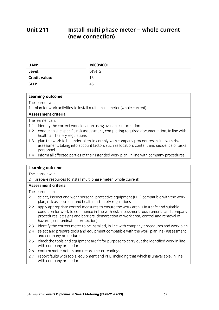## **Unit 211** Install multi phase meter - whole current **(new connection) (new connection)**

| UAN:                 | J/600/4001 |
|----------------------|------------|
| Level:               | Level 2    |
| <b>Credit value:</b> | 15         |
| GLH:                 | 45         |

# **Learning outcome**<br>The learner will:

1. plan for work activities to install multi phase meter (whole current).  $\frac{1}{\sqrt{2}}$  . plan for work activities to install multi-dependent of the current of  $\frac{1}{\sqrt{2}}$ 

The learner can:

- 1.1 identify the correct work location using available information
- 1.2 conduct a site specific risk assessment, completing required documentation, in line with health and safety regulations
- 1.3 plan the work to be undertaken to comply with company procedures in line with risk assessment, taking into account factors such as location, content and sequence of tasks, personnel
- 1.4 inform all affected parties of their intended work plan, in line with company procedures. 1.4 information and intended parties of their intended work plan, in line with company procedures.<br>The intended work plan, in line with company procedures, in line with company procedures. In line with company

# **Learning outcome**<br>The learner will:

2. prepare resources to install multi phase meter (whole current).

### Assessment criteria

- 2.1 select, inspect and wear personal protective equipment (PPE) compatible with the work plan, risk assessment and health and safety regulations
- 2.2 apply appropriate control measures to ensure the work area is in a safe and suitable condition for work to commence in line with risk assessment requirements and company procedures (eg signs and barriers, demarcation of work area, control and removal of hazards, contamination protection)
- 2.3 identify the correct meter to be installed, in line with company procedures and work plan
- 2.4 select and prepare tools and equipment compatible with the work plan, risk assessment and company procedures
- 2.5 check the tools and equipment are fit for purpose to carry out the identified work in line with company procedures
- 2.6 confirm meter details and record meter readings
- 2.7 report faults with tools, equipment and PPE, including that which is unavailable, in line with company procedures.  $\frac{1}{2}$  with company procedures.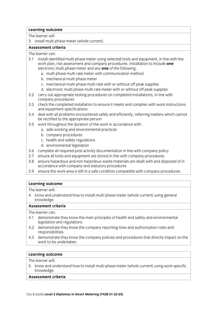3. install multi phase meter (whole current).

## Assessment criteria.

The learner can:

- 3.1 install identified multi phase meter using selected tools and equipment, in line with the work plan, risk assessment and company procedures. Installation to include one electronic multi phase meter and any **one** of the following:
	- a. multi phase multi rate meter with communication method
	- b. mechanical multi phase meter
	- c. mechanical multi phase multi rate with or without off peak supplies
	- d. electronic multi phase multi rate meter with or without off peak supplies
- 3.2 carry out appropriate testing procedures on completed installations, in line with company procedures
- 3.3 check the completed installation to ensure it meets and complies with work instructions and equipment specifications
- 3.4 deal with all problems encountered safely and efficiently, referring matters which cannot be rectified to the appropriate person
- 3.5 work throughout the duration of the work in accordance with:
	- a. safe working and environmental practices
	- b. company procedures
	- c. health and safety regulations
	- d. environmental legislation
- 3.6 complete all required post activity documentation in line with company policy
- 3.7 ensure all tools and equipment are stored in line with company procedures
- 3.8 ensure hazardous and non hazardous waste materials are dealt with and disposed of in accordance with company and statutory procedures
- 3.9 ensure the work area is left in a safe condition compatible with company procedures. 3.9 ensure the work area is left in a safe company procedure with company procedures.

# **Learning outcome**<br>The learner will:

4. know and understand how to install multi phase meter (whole current) using general knowledge.

### Assessment criteria

The learner can:

- 4.1 demonstrate they know the main principles of health and safety and environmental legislation and regulations
- 4.2 demonstrate they know the company reporting lines and authorisation roles and responsibilities
- 4.3 demonstrate they know the company policies and procedures that directly impact on the work to be undertaken. work to be undertaken. Die word die staat van die volgens van die volgens van die volgens van die volgens van <br>Gebeure

# **Learning outcome**<br>The learner will:

5. know and understand how to install multi phase meter (whole current) using work-specific  $5.5.$  knowledge knowledge.<br>**Assessment criteria** 

# **Assessment criteria**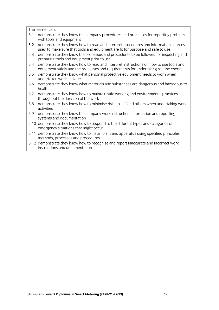- 5.1 demonstrate they know the company procedures and processes for reporting problems with tools and equipment
- 5.2 demonstrate they know how to read and interpret procedures and information sources used to make sure that tools and equipment are fit for purpose and safe to use
- 5.3 demonstrate they know the processes and procedures to be followed for inspecting and preparing tools and equipment prior to use
- 5.4 demonstrate they know how to read and interpret instructions on how to use tools and equipment safely and the processes and requirements for undertaking routine checks
- 5.5 demonstrate they know what personal protective equipment needs to worn when undertaken work activities
- 5.6 demonstrate they know what materials and substances are dangerous and hazardous to 5.6 demonstrate they know what materials and substances are dangerous and hazardous to
- 5.7 demonstrate they know how to maintain safe working and environmental practices throughout the duration of the work
- 5.8 demonstrate they know how to minimise risks to self and others when undertaking work  $\overline{\phantom{a}}$  demonstrate the  $\overline{\phantom{a}}$  risks to self and others when undertaking work when undertaking work when undertaking work when undertaking work when undertaking work when undertaking work when undertaking work wo
- 5.9 demonstrate they know the company work instruction, information and reporting systems and documentation
- 5.10 demonstrate they know how to respond to the different types and categories of emergency situations that might occur
- 5.11 demonstrate they know how to install plant and apparatus using specified principles, methods, processes and procedures
- 5.12 demonstrate they know how to recognise and report inaccurate and incorrect work instructions and documentation instructions and documentations and documentation.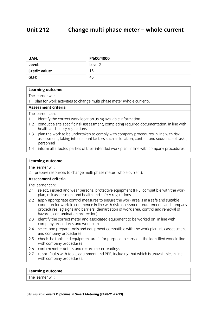### **Unit 212** Change multi phase meter - whole current **Unit 212 Change multi phase meter – whole current**

| UAN:                 | F/600/4000 |
|----------------------|------------|
| Level:               | Level 2    |
| <b>Credit value:</b> | 15         |
| GLH:                 | 45         |

# **Learning outcome**<br>The learner will:

1. plan for work activities to change multi phase meter (whole current).

### **Assessment criteria**

The learner can:

- 1.1 identify the correct work location using available information
- 1.2 conduct a site specific risk assessment, completing required documentation, in line with health and safety regulations
- 1.3 plan the work to be undertaken to comply with company procedures in line with risk assessment, taking into account factors such as location, content and sequence of tasks, assessment, the account factors such as location, content and sequence of tasks,  $\frac{1}{2}$ personnel<br>1.4 inform all affected parties of their intended work plan, in line with company procedures.
- 1.4 information and intended parties of their intended work plan, in line with company procedures.<br>The intended work plan, in line with company procedures, in line with company procedures. In line with company

### **Learning outcome**

The learner will:

2. prepare resources to change multi phase meter (whole current).

### Assessment criteria

The learner can:

- 2.1 select, inspect and wear personal protective equipment (PPE) compatible with the work plan, risk assessment and health and safety regulations
- 2.2 apply appropriate control measures to ensure the work area is in a safe and suitable condition for work to commence in line with risk assessment requirements and company procedures (eg signs and barriers, demarcation of work area, control and removal of hazards, contamination protection)
- 2.3 identify the correct meter and associated equipment to be worked on, in line with company procedures and work plan
- 2.4 select and prepare tools and equipment compatible with the work plan, risk assessment and company procedures
- 2.5 check the tools and equipment are fit for purpose to carry out the identified work in line with company procedures
- 2.6 confirm meter details and record meter readings
- 2.7 report faults with tools, equipment and PPE, including that which is unavailable, in line with company procedures.  $\frac{1}{2}$  with company procedures.

# **Learning outcome**<br>The learner will:

<u>The learner</u> will be a strong will be a strong will be a strong will be a strong will be a strong will be a strong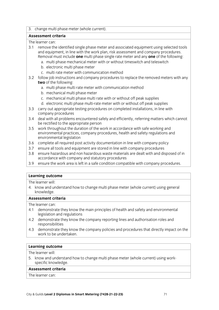3. change multi phase meter (whole current).

## Assessment criteria

The learner can:

- 3.1 remove the identified single phase meter and associated equipment using selected tools and equipment, in line with the work plan, risk assessment and company procedures. Removal must include one multi phase single rate meter and any one of the following:
	- a. multi phase mechanical meter with or without timeswitch and teleswitch
	- b. electronic multi phase meter
	- c. multi rate meter with communication method
- 3.2 follow job instructions and company procedures to replace the removed meters with any two of the following:
	- a. multi phase multi rate meter with communication method
	- b. mechanical multi phase meter
	- c. mechanical multi phase multi rate with or without off peak supplies
	- d. electronic multi phase multi-rate meter with or without off peak supplies
- 3.3 carry out appropriate testing procedures on completed installations, in line with company procedures
- 3.4 deal with all problems encountered safely and efficiently, referring matters which cannot be rectified to the appropriate person
- 3.5 work throughout the duration of the work in accordance with safe working and environmental practices, company procedures, health and safety regulations and environmental legislation
- 3.6 complete all required post activity documentation in line with company policy
- 3.7 ensure all tools and equipment are stored in line with company procedures
- 3.8 ensure hazardous and non hazardous waste materials are dealt with and disposed of in accordance with company and statutory procedures
- 3.9 ensure the work area is left in a safe condition compatible with company procedures. 3.9 ensure the work area is left in a safe condition compatible with company procedures.

# **Learning outcome**<br>The learner will:

4. know and understand how to change multi phase meter (whole current) using general knowledge multi phase multi phase multiplier (whole current) using general current of the current of the current of the current of the current of the current of the current of the current of the current of the current of t

## Assessment criteria

The learner can:

- 4.1 demonstrate they know the main principles of health and safety and environmental legislation and regulations
- 4.2 demonstrate they know the company reporting lines and authorisation roles and responsibilities
- 4.3 demonstrate they know the company policies and procedures that directly impact on the work to be undertaken. work to be undertaken.

# **Learning outcome**<br>The learner will:

5. know and understand how to change multi phase meter (whole current) using workspecific knowledge.

### Assessment criteria

The learner can: <u>The learner</u> can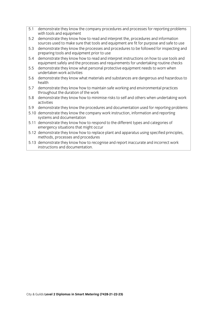- demonstrate they know the company procedures and processes for reporting problems  $5.1$ with tools and equipment
- 5.2 demonstrate they know how to read and interpret the, procedures and information sources used to make sure that tools and equipment are fit for purpose and safe to use
- 5.3 demonstrate they know the processes and procedures to be followed for inspecting and preparing tools and equipment prior to use
- 5.4 demonstrate they know how to read and interpret instructions on how to use tools and equipment safely and the processes and requirements for undertaking routine checks
- 5.5 demonstrate they know what personal protective equipment needs to worn when undertaken work activities
- 5.6 demonstrate they know what materials and substances are dangerous and hazardous to 5.6 demonstrate they know what materials and substances are dangerous and hazardous to
- 5.7 demonstrate they know how to maintain safe working and environmental practices throughout the duration of the work
- 5.8 demonstrate they know how to minimise risks to self and others when undertaking work  $\frac{1}{2}$  demonstrate the  $\frac{1}{2}$  demonstrate risks to self and others when undertaking work when  $\frac{1}{2}$
- 5.9 demonstrate they know the procedures and documentation used for reporting problems
- 5.10 demonstrate they know the company work instruction, information and reporting systems and documentation
- 5.11 demonstrate they know how to respond to the different types and categories of emergency situations that might occur
- 5.12 demonstrate they know how to replace plant and apparatus using specified principles. methods, processes and procedures
- 5.13 demonstrate they know how to recognise and report inaccurate and incorrect work instructions and documentation. instructions and documentation.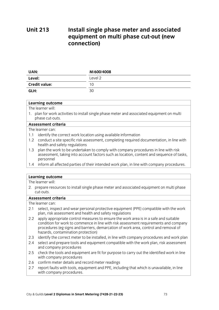### **Unit 213** Install single phase meter and associated **equipment on multi phase cut-out (new connection) connection**

| <b>UAN:</b>          | M/600/4008 |
|----------------------|------------|
| Level:               | Level 2    |
| <b>Credit value:</b> | 10         |
| GLH:                 | 30         |

### **Learning outcome**

The learner will<sup>.</sup>

1. plan for work activities to install single phase meter and associated equipment on multi phase cut-outs.

#### Assessment criteria

The learner can:

- 1.1 identify the correct work location using available information
- 1.2 conduct a site specific risk assessment, completing required documentation, in line with health and safety regulations
- 1.3 plan the work to be undertaken to comply with company procedures in line with risk assessment, taking into account factors such as location, content and sequence of tasks, assessment, the account factors such as location, content and sequence of tasks,  $\frac{1}{2}$ personnel<br>1.4 inform all affected parties of their intended work plan, in line with company procedures.
- 1.4 inform all affected parties of their intended work plan, in line with company procedures.

### **Learning outcome**<br>The learner will:

2. prepare resources to install single phase meter and associated equipment on multi phase 2. prepare resources to install single phase meter and associated equipment on multi phase

#### Assessment criteria

- 2.1 select, inspect and wear personal protective equipment (PPE) compatible with the work plan, risk assessment and health and safety regulations
- 2.2 apply appropriate control measures to ensure the work area is in a safe and suitable condition for work to commence in line with risk assessment requirements and company procedures (eg signs and barriers, demarcation of work area, control and removal of hazards, contamination protection)
- 2.3 identify the correct meter to be installed, in line with company procedures and work plan
- 2.4 select and prepare tools and equipment compatible with the work plan, risk assessment and company procedures
- 2.5 check the tools and equipment are fit for purpose to carry out the identified work in line with company procedures
- 2.6 confirm meter details and record meter readings
- 2.7 report faults with tools, equipment and PPE, including that which is unavailable, in line with company procedures. with company processes in the company processes in the company of the company of the company of the company of the company of the company of the company of the company of the company of the company of the company of the co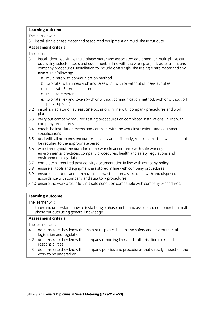3. install single phase meter and associated equipment on multi phase cut-outs.

#### Assessment criteria

The learner can:

- 3.1 install identified single multi phase meter and associated equipment on multi phase cut outs using selected tools and equipment, in line with the work plan, risk assessment and company procedures. Installation to include **one** single phase single rate meter and any one of the following:
	- a. multi rate with communication method
	- b. two rate (with timeswitch and teleswitch with or without off peak supplies)
	- c. multi rate 5 terminal meter
	- d. multi-rate meter
	- e. two rate key and token (with or without communication method, with or without off peak supplies)
- 3.2 install an isolator on at least **one** occasion, in line with company precedures and work 3.2 install an isolator on at least **one** occasion, in line with company precedures and work
- 3.3 carry out company required testing procedures on completed installations, in line with company procedures
- 3.4 check the installation meets and complies with the work instructions and equipment specifications
- 3.5 deal with all problems encountered safely and efficiently, referring matters which cannot be rectified to the appropriate person
- 3.6 work throughout the duration of the work in accordance with safe working and environmental practices, company procedures, health and safety regulations and environmental legislation
- 3.7 complete all required post activity documentation in line with company policy
- 3.8 ensure all tools and equipment are stored in line with company procedures
- 3.9 ensure hazardous and non hazardous waste materials are dealt with and disposed of in accordance with company and statutory procedures
- 3.10 ensure the work area is left in a safe condition compatible with company procedures. 3.10 ensure the work area is left in a safe company procedure with company procedures.

# **Learning outcome**<br>The learner will:

4. know and understand how to install single phase meter and associated equipment on multi phase cut-outs using general knowledge.

#### Assessment criteria

- 4.1 demonstrate they know the main principles of health and safety and environmental legislation and regulations
- 4.2 demonstrate they know the company reporting lines and authorisation roles and responsibilities
- 4.3 demonstrate they know the company policies and procedures that directly impact on the work to be undertaken. work to be undertaken. Die word die staat van die volgens van die volgens van die volgens van die volgens van <br>Gebeure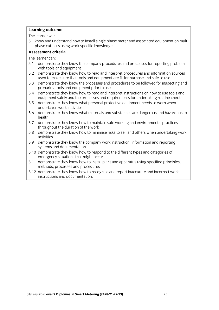5. know and understand how to install single phase meter and associated equipment on multi phase cut-outs using work-specific knowledge.

#### Assessment criteria

- 5.1 demonstrate they know the company procedures and processes for reporting problems with tools and equipment
- 5.2 demonstrate they know how to read and interpret procedures and information sources used to make sure that tools and equipment are fit for purpose and safe to use
- demonstrate they know the processes and procedures to be followed for inspecting and  $5.3$ preparing tools and equipment prior to use
- 5.4 demonstrate they know how to read and interpret instructions on how to use tools and equipment safely and the processes and requirements for undertaking routine checks
- 5.5 demonstrate they know what personal protective equipment needs to worn when undertaken work activities
- 5.6 demonstrate they know what materials and substances are dangerous and hazardous to 5.6 demonstrate they know what materials and substances are dangerous and hazardous to
- 5.7 demonstrate they know how to maintain safe working and environmental practices throughout the duration of the work
- 5.8 demonstrate they know how to minimise risks to self and others when undertaking work  $\frac{1}{2}$  demonstrate the  $\frac{1}{2}$  demonstrate risks to self and others when undertaking work when  $\frac{1}{2}$
- 5.9 demonstrate they know the company work instruction, information and reporting systems and documentation
- 5.10 demonstrate they know how to respond to the different types and categories of emergency situations that might occur
- 5.11 demonstrate they know how to install plant and apparatus using specified principles, methods, processes and procedures
- 5.12 demonstrate they know how to recognise and report inaccurate and incorrect work instructions and documentation. instructions and documentation.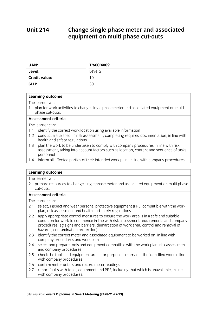### **Unit 214 Change single phase meter and associated equipment on multi phase cut-outs equipment on multi phase cut-outs**

| UAN:                 | T/600/4009 |
|----------------------|------------|
| Level:               | Level 2    |
| <b>Credit value:</b> | 10         |
| GLH:                 | 30         |

## **Learning outcome**<br>The learner will:

1. plan for work activities to change single phase meter and associated equipment on multi phase cut-outs.

### Assessment criteria

The learner can:

- 1.1 identify the correct work location using available information
- 1.2 conduct a site specific risk assessment, completing required documentation, in line with health and safety regulations
- 1.3 plan the work to be undertaken to comply with company procedures in line with risk assessment, taking into account factors such as location, content and sequence of tasks, assessment, the account factors such as location, content and sequence of tasks,  $\frac{1}{2}$ personnel<br>1.4 inform all affected parties of their intended work plan, in line with company procedures.
- 1.4 inform all affected parties of their intended work plan, in line with company procedures.

# **Learning outcome**<br>The learner will:

2. prepare resources to change single phase meter and associated equipment on multi phase 2. prepare resources to change single phase meter and associated equipment on multi phase

### Assessment criteria

- 2.1 select, inspect and wear personal protective equipment (PPE) compatible with the work plan, risk assessment and health and safety regulations
- 2.2 apply appropriate control measures to ensure the work area is in a safe and suitable condition for work to commence in line with risk assessment requirements and company procedures (eg signs and barriers, demarcation of work area, control and removal of hazards, contamination protection)
- 2.3 identify the correct meter and associated equipment to be worked on, in line with company procedures and work plan
- 2.4 select and prepare tools and equipment compatible with the work plan, risk assessment and company procedures
- 2.5 check the tools and equipment are fit for purpose to carry out the identified work in line with company procedures
- 2.6 confirm meter details and record meter readings
- 2.7 report faults with tools, equipment and PPE, including that which is unavailable, in line  $2.7$  reproduced that  $2.7$  report fault is unavailable. The community of  $\frac{1}{2}$ with company procedures.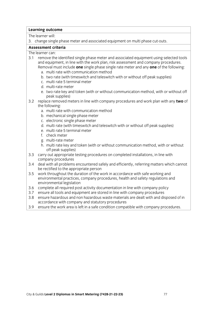3. change single phase meter and associated equipment on multi phase cut-outs.

#### Assessment criteria

The learner can<sup>-</sup>

- 3.1 remove the identified single phase meter and associated equipment using selected tools and equipment, in line with the work plan, risk assessment and company procedures. Removal must include **one** single phase single rate meter and any **one** of the following:
	- a. multi rate with communication method
	- b. two rate (with timeswitch and teleswitch with or without off peak supplies)
	- c. multi rate 5 terminal meter
	- d. multi-rate meter
	- e. two rate key and token (with or without communication method, with or without off peak supplies)
- 3.2 replace removed meters in line with company procedures and work plan with any two of the following:
	- a. multi rate with communication method
	- b. mechanical single phase meter
	- c. electronic single phase meter
	- d. multi rate (with timeswitch and teleswitch with or without off peak supplies)
	- e. multi rate 5 terminal meter
	- f. check meter
	- g. multi-rate meter
	- h. multi rate key and token (with or without communication method, with or without off peak supplies)
- 3.3 carry out appropriate testing procedures on completed installations, in line with company procedures
- 3.4 deal with all problems encountered safely and efficiently, referring matters which cannot be rectified to the appropriate person
- 3.5 work throughout the duration of the work in accordance with safe working and environmental practices, company procedures, health and safety regulations and environmental legislation
- 3.6 complete all required post activity documentation in line with company policy
- 3.7 ensure all tools and equipment are stored in line with company procedures
- 3.8 ensure hazardous and non hazardous waste materials are dealt with and disposed of in accordance with company and statutory procedures
- 3.9 ensure the work area is left in a safe condition compatible with company procedures. 3.9 ensure the work area is left in a safe condition company procedures. The with company procedures of the wi<br>The with company procedures are a safe company procedures. The with company procedures in the with company pro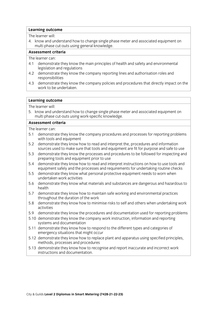4. know and understand how to change single phase meter and associated equipment on multi phase cut-outs using general knowledge.

### Assessment criteria

The learner can:

- 4.1 demonstrate they know the main principles of health and safety and environmental legislation and regulations
- 4.2 demonstrate they know the company reporting lines and authorisation roles and responsibilities
- 4.3 demonstrate they know the company policies and procedures that directly impact on the work to be undertaken. work to be undertaken. Die begin die begin die begin die begin die begin die begin die begin die begin die beg<br>Die begin die begin die begin die begin die begin die begin die begin die begin die begin die begin die begin

#### **Learning outcome**

The learner will:

5. know and understand how to change single phase meter and associated equipment on multi phase cut-outs using work-specific knowledge.

#### Assessment criteria

- 5.1 demonstrate they know the company procedures and processes for reporting problems with tools and equipment
- 5.2 demonstrate they know how to read and interpret the, procedures and information sources used to make sure that tools and equipment are fit for purpose and safe to use
- 5.3 demonstrate they know the processes and procedures to be followed for inspecting and preparing tools and equipment prior to use
- 5.4 demonstrate they know how to read and interpret instructions on how to use tools and equipment safely and the processes and requirements for undertaking routine checks
- 5.5 demonstrate they know what personal protective equipment needs to worn when undertaken work activities
- 5.6 demonstrate they know what materials and substances are dangerous and hazardous to 5.6 demonstrate they know what materials and substances are dangerous and hazardous to
- 5.7 demonstrate they know how to maintain safe working and environmental practices throughout the duration of the work
- the demonstrate the v know how to mini  $\frac{1}{\sqrt{2}}$  demonstrate the minimise risks to self and others when undertaking  $\frac{1}{\sqrt{2}}$ activities<br>5.9 demonstrate they know the procedures and documentation used for reporting problems
- 
- 5.10 demonstrate they know the company work instruction, information and reporting systems and documentation
- 5.11 demonstrate they know how to respond to the different types and categories of emergency situations that might occur
- 5.12 demonstrate they know how to replace plant and apparatus using specified principles, methods, processes and procedures
- 5.13 demonstrate they know how to recognise and report inaccurate and incorrect work instructions and documentation instructions and documentation.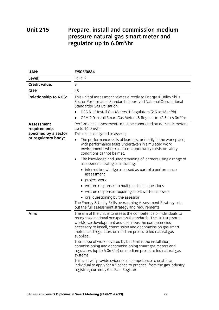### **Unit 215 UNITE 215 Prepared and media 125 Pressure, natural gas smart meter and pressure to a smart metally determined**<br>regulator up to 6.0m<sup>3</sup>/hr **regulator up to 6.0m<sup>3</sup> /hr**

| <b>UAN:</b>                                                                       | F/505/0884                                                                                                                                                                                                                                                                                                                                                                                                                                                                                                                                                                                                                                                                                                                                                                                                                                  |  |
|-----------------------------------------------------------------------------------|---------------------------------------------------------------------------------------------------------------------------------------------------------------------------------------------------------------------------------------------------------------------------------------------------------------------------------------------------------------------------------------------------------------------------------------------------------------------------------------------------------------------------------------------------------------------------------------------------------------------------------------------------------------------------------------------------------------------------------------------------------------------------------------------------------------------------------------------|--|
| Level:                                                                            | Level 2                                                                                                                                                                                                                                                                                                                                                                                                                                                                                                                                                                                                                                                                                                                                                                                                                                     |  |
| <b>Credit value:</b>                                                              | 9                                                                                                                                                                                                                                                                                                                                                                                                                                                                                                                                                                                                                                                                                                                                                                                                                                           |  |
| GLH:                                                                              | 48                                                                                                                                                                                                                                                                                                                                                                                                                                                                                                                                                                                                                                                                                                                                                                                                                                          |  |
| <b>Relationship to NOS:</b>                                                       | This unit of assessment relates directly to Energy & Utility Skills<br>Sector Performance Standards (approved National Occupational<br>Standards) Gas Utilisation:<br>DSG 3.12 Install Gas Meters & Regulators (2.5 to 16 m <sup>3</sup> /h)<br>GSM 2.0 Install Smart Gas Meters & Regulators (2.5 to 6.0m <sup>3</sup> /h).                                                                                                                                                                                                                                                                                                                                                                                                                                                                                                                |  |
| <b>Assessment</b><br>requirements<br>specified by a sector<br>or regulatory body: | Performance assessments must be conducted on domestic meters<br>up to 16.0m <sup>3</sup> /hr<br>This unit is designed to assess;<br>The performance skills of learners, primarily in the work place,<br>with performance tasks undertaken in simulated work<br>environments where a lack of opportunity exists or safety<br>conditions cannot be met.<br>The knowledge and understanding of learners using a range of<br>$\bullet$<br>assessment strategies including:<br>• inferred knowledge assessed as part of a performance<br>assessment<br>• project work<br>• written responses to multiple choice questions<br>• written responses requiring short written answers<br>• oral questioning by the assessor<br>The Energy & Utility Skills overarching Assessment Strategy sets<br>out the full assessment strategy and requirements. |  |
| Aim:                                                                              | The aim of the unit is to assess the competence of individuals to<br>recognised national occupational standards. The Unit supports<br>workforce development and describes the competencies<br>necessary to install, commission and decommission gas smart<br>meters and regulators on medium pressure fed natural gas<br>supplies.<br>The scope of work covered by this Unit is the installation,<br>commissioning and decommissioning smart gas meters and<br>regulators (up to 6.0m <sup>3</sup> /hr) on medium pressure fed natural gas<br>systems.<br>This unit will provide evidence of competence to enable an<br>individual to apply for a 'licence to practice' from the gas industry<br>registrar, currently Gas Safe Register.                                                                                                    |  |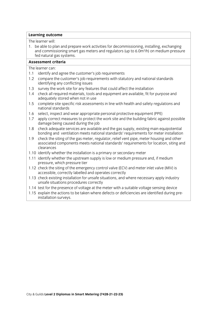1. be able to plan and prepare work activities for decommissioning, installing, exchanging and commissioning smart gas meters and regulators (up to 6.0 $m^3/h$ ) on medium pressui and commissioning smart gas meters and regulators (up to 6.0m<br>fed natural gas systems. /h) on medium pressure

#### Assessment criteria

- 1.1 identify and agree the customer's job requirements
- 1.2 compare the customer's job requirements with statutory and national standards identifying any conflicting issues
- 1.3 survey the work site for any features that could affect the installation
- 1.4 check all required materials, tools and equipment are available, fit for purpose and adequately stored when not in use
- 1.5 complete site specific risk assessments in line with health and safety regulations and national standards
- 1.6 select, inspect and wear appropriate personal protective equipment (PPE)
- 1.7 apply correct measures to protect the work site and the building fabric against possible damage being caused during the job
- 1.8 check adequate services are available and the gas supply, existing main equipotential bonding and ventilation meets national standards' requirements for meter installation
- 1.9 check the siting of the gas meter, regulator, relief vent pipe, meter housing and other associated components meets national standards' requirements for location, siting and associated components meets national standards meets national standards for location, situation, siting and si
- 1.10 identify whether the installation is a primary or secondary meter
- 1.11 identify whether the upstream supply is low or medium pressure and, if medium pressure, which pressure tier
- 1.12 check the siting of the emergency control valve (ECV) and meter inlet valve (MIV) is accessible, correctly labelled and operates correctly
- 1.13 check existing installation for unsafe situations, and where necessary apply industry unsafe situations procedures correctly
- 1.14 test for the presence of voltage at the meter with a suitable voltage sensing device
- 1.15 explain the actions to be taken where defects or deficiencies are identified during preinstallation surveys. installation surveys.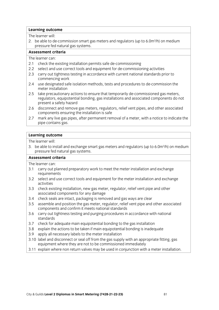2. be able to de-commission smart gas meters and regulators (up to  $6.0 \text{m}^3/\text{h}$ ) on medium pressure fed natural gas systems. /h) on medium

### Assessment criteria

The learner can:

- 2.1 check the existing installation permits safe de-commissioning
- 2.2 select and use correct tools and equipment for de-commissioning activities
- 2.3 carry out tightness testing in accordance with current national standards prior to commencing work
- 2.4 use designated safe isolation methods, tests and procedures to de-commission the meter installation
- 2.5 take precautionary actions to ensure that temporarily de-commissioned gas meters, regulators, equipotential bonding, gas installations and associated components do not present a safety hazard
- 2.6 disconnect and remove gas meters, regulators, relief vent pipes, and other associated components ensuring the installation is safe
- mark any live gas pipes, after permanent removal of a meter, with a notice to indicate the 2.7 mark any live gas p<br>pipe contains gas.  $\overline{\phantom{a}}$

## **Learning outcome**<br>The learner will:

2 he shle to in 3. be able to install and exchange smart gas meters and regulators (up to 6.0m)<br>pressure fed natural gas systems /h) on medium pressure fed natural gas systems.<br>Assessment criteria

- 3.1 carry out planned preparatory work to meet the meter installation and exchange requirements
- 3.2 select and use correct tools and equipment for the meter installation and exchange  $\overline{a}$  set and use correct tools and equipment for the meter installation and exchange  $\overline{a}$
- 3.3 check existing installation, new gas meter, regulator, relief vent pipe and other associated components for any damage
- 3.4 check seals are intact, packaging is removed and gas ways are clear
- 3.5 assemble and position the gas meter, regulator, relief vent pipe and other associated components and confirm it meets national standards
- 3.6 carry out tightness testing and purging procedures in accordance with national standards
- 3.7 check for adequate main equipotential bonding to the gas installation
- 3.8 explain the actions to be taken if main equipotential bonding is inadequate
- 3.9 apply all necessary labels to the meter installation
- 3.10 label and disconnect or seal off from the gas supply with an appropriate fitting, gas equipment where they are not to be commissioned immediately
- 3.11 explain where non return valves may be used in conjunction with a meter installation. 3.11 explain where non return valves may be used in conjunction with a meter installation.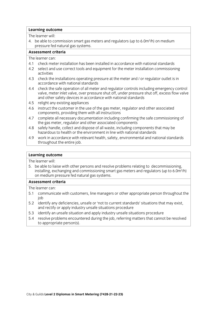4. be able to commission smart gas meters and regulators (up to  $6.0 \text{m}^3/\text{h}$ ) on medium pressure fed natural gas systems. /h) on medium

### Assessment criteria

The learner can:

- 4.1 check meter installation has been installed in accordance with national standards
- 4.2 select and use correct tools and equipment for the meter installation commissioning  $\alpha$  settivities correct tools and use correct tools and equipment for the meter installation commissioning  $\alpha$
- 4.3 check the installations operating pressure at the meter and / or regulator outlet is in accordance with national standards
- 4.4 check the safe operation of all meter and regulator controls including emergency control valve, meter inlet valve, over pressure shut off, under pressure shut off, excess flow valve and other safety devices in accordance with national standards
- 4.5 relight any existing appliances
- 4.6 instruct the customer in the use of the gas meter, regulator and other associated components, providing them with all instructions
- 4.7 complete all necessary documentation including confirming the safe commissioning of the gas meter, regulator and other associated components
- 4.8 safely handle, collect and dispose of all waste, including components that may be hazardous to health or the environment in line with national standards
- 4.9 work in accordance with relevant health, safety, environmental and national standards throughout the entire job.  $\overline{\phantom{a}}$

# **Learning outcome**<br>The learner will:

5. be able to liaise with other persons and resolve problems relating to decommissioning. installing, exchanging and commissioning smart gas meters and regulators (up to 6.0m<sup>3</sup>/h) on medium pressure fed natural gas systems. /h)

#### Assessment criteria

- 5.1 communicate with customers, line managers or other appropriate person throughout the  $5.1$  communicate with customers, line  $\frac{1}{2}$  communicate person throughout throughout the person throughout throughout the person throughout throughout the person throughout throughout throughout throughout throughout
- job<br>5.2 identify any deficiencies, unsafe or 'not to current standards' situations that may exist, and rectify or apply industry unsafe situations procedure
- 5.3 identify an unsafe situation and apply industry unsafe situations procedure
- 5.4 resolve problems encountered during the job, referring matters that cannot be resolved to appropriate person(s).  $\frac{1}{2}$  to appropriate personal personal  $\frac{1}{2}$ .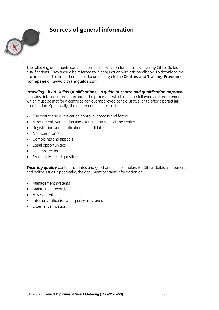# **Sources of general information**



The following documents contain essential information for centres delivering City & Guilds gualifications. They should be referred to in conjunction with this handbook. To download the documents and to find other useful documents, go to the Centres and Training Providers homepage on www.cityandguilds.com. **homepage** on **www.cityandguilds.com**.

*Providing City & Guilds Qualifications – a guide to centre and qualification approval* **contains detailed information about the processes which must be followed and requirements** which must be met for a centre to achieve 'approved centre' status, or to offer a particular qualification. Specifically, the document includes sections on:  $\mathbf{q}$  is done do cument includes sections sections sections sections on:

- The centre and qualification approval process and forms
- Assessment, verification and examination roles at the centre
- Registration and certification of candidates
- Non-compliance
- Complaints and appeals
- Equal opportunities
- Data protection
- Frequently asked questions.

**Ensuring quality** contains updates and good practice exemplars for City & Guilds assessment and policy issues. Specifically, the document contains information on: and  $\frac{1}{2}$  is understanding contains in the document contains in  $\frac{1}{2}$ 

- Management systems
- Maintaining records
- Assessment
- Internal verification and quality assurance
- External verification.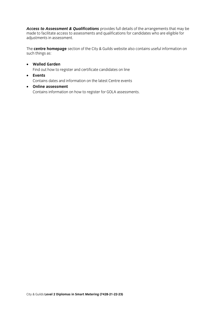Access to Assessment & Qualifications provides full details of the arrangements that may be made to facilitate access to assessments and qualifications for candidates who are eligible for adiustments in assessment. And are eligible for candidates who are eligible for candidates who are eligible for adjustments in assessment.

The **centre homepage** section of the City & Guilds website also contains useful information on such things as:

- **Walled Garden** Find out how to register and certificate candidates on line
- **Events**<br>Contains dates and information on the latest Centre events
- **Online assessment**<br>Contains information on how to register for GOLA assessments Contains information on how to register for GOLA assessments.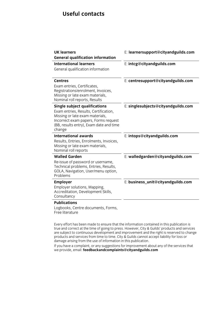### **Useful contacts**

| <b>UK learners</b><br><b>General qualification information</b>                                                                                                                                                | E: learnersupport@cityandguilds.com |
|---------------------------------------------------------------------------------------------------------------------------------------------------------------------------------------------------------------|-------------------------------------|
| <b>International learners</b><br>General qualification information                                                                                                                                            | E: intcg@cityandguilds.com          |
| <b>Centres</b><br>Exam entries, Certificates,<br>Registrations/enrolment, Invoices,<br>Missing or late exam materials,<br>Nominal roll reports, Results                                                       | E: centresupport@cityandguilds.com  |
| <b>Single subject qualifications</b><br>Exam entries, Results, Certification,<br>Missing or late exam materials,<br>Incorrect exam papers, Forms request<br>(BB, results entry), Exam date and time<br>change | E: singlesubjects@cityandguilds.com |
| <b>International awards</b><br>Results, Entries, Enrolments, Invoices,<br>Missing or late exam materials,<br>Nominal roll reports                                                                             | E: intops@cityandguilds.com         |
| <b>Walled Garden</b><br>Re-issue of password or username,<br>Technical problems, Entries, Results,<br>GOLA, Navigation, User/menu option,<br>Problems                                                         | E: walledgarden@cityandguilds.com   |
| <b>Employer</b><br>Employer solutions, Mapping,<br>Accreditation, Development Skills,<br>Consultancy                                                                                                          | E: business_unit@cityandguilds.com  |
| <b>Publications</b>                                                                                                                                                                                           |                                     |
| Logbooks, Centre documents, Forms,                                                                                                                                                                            |                                     |

Free literature Free literature

Every effort has been made to ensure that the information contained in this publication is true and correct at the time of going to press. However, City & Guilds' products and services are subject to continuous development and improvement and the right is reserved to change products and services from time to time. City & Guilds cannot accept liability for loss or damage arising from the use of information in this publication.

If you have a complaint, or any suggestions for improvement about any of the services that  $\mu$  a complete a complete a complete a complete a complete and increase that  $\mu$  is the services that  $\mu$  is the services that  $\mu$  is the services that  $\mu$  is that  $\mu$  is that  $\mu$  is that  $\mu$  is that  $\mu$  is that we provide, email: **feedbackandcomplaints@cityandguilds.com**